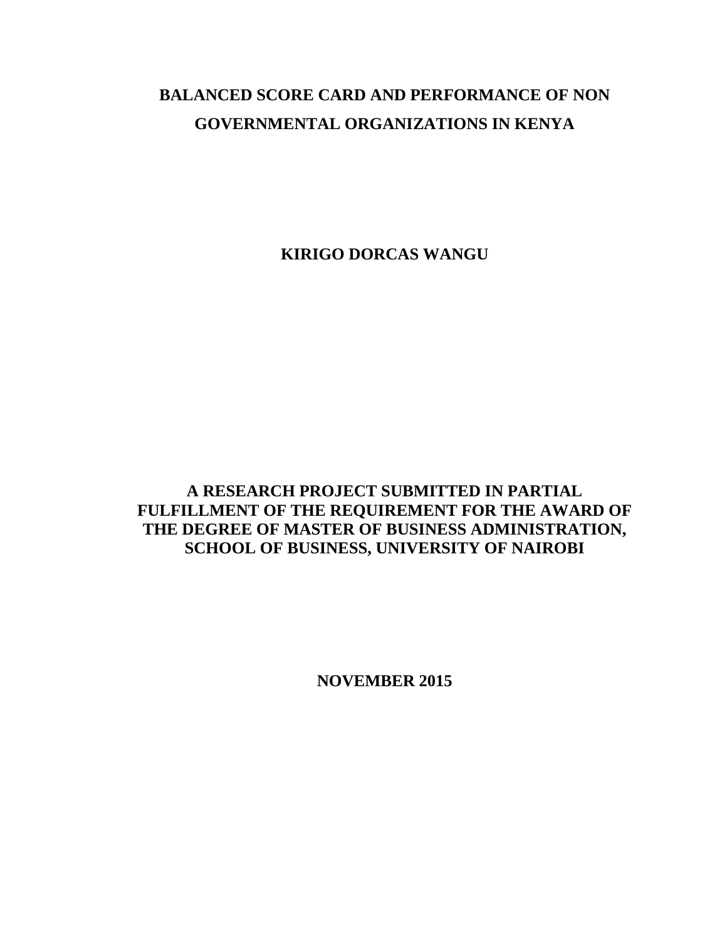# **BALANCED SCORE CARD AND PERFORMANCE OF NON GOVERNMENTAL ORGANIZATIONS IN KENYA**

**KIRIGO DORCAS WANGU**

**A RESEARCH PROJECT SUBMITTED IN PARTIAL FULFILLMENT OF THE REQUIREMENT FOR THE AWARD OF THE DEGREE OF MASTER OF BUSINESS ADMINISTRATION, SCHOOL OF BUSINESS, UNIVERSITY OF NAIROBI**

**NOVEMBER 2015**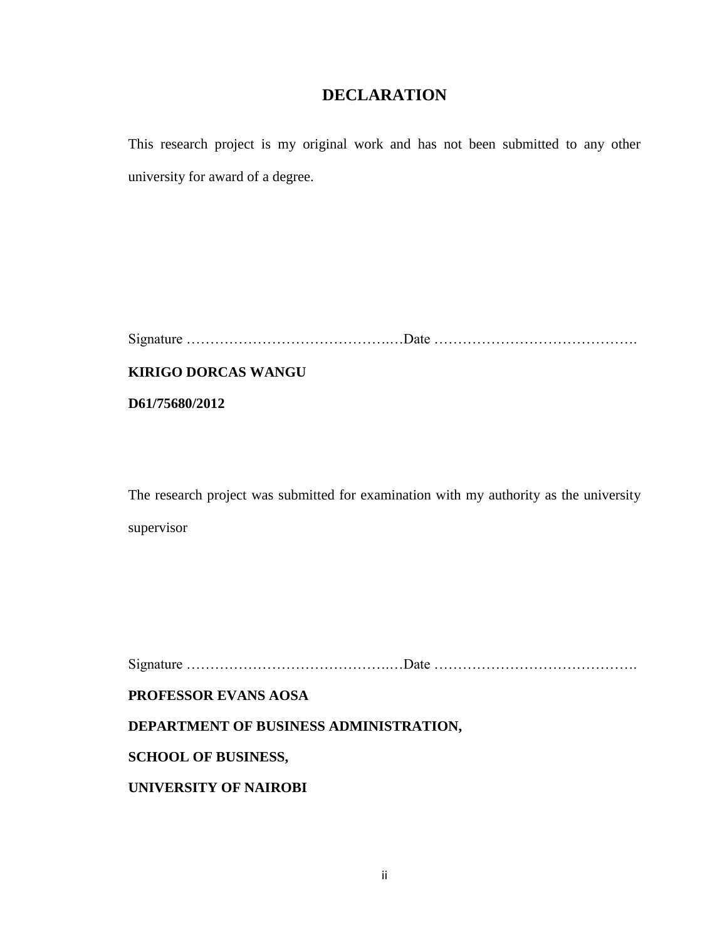# **DECLARATION**

<span id="page-1-0"></span>This research project is my original work and has not been submitted to any other university for award of a degree.

**KIRIGO DORCAS WANGU**

**D61/75680/2012**

The research project was submitted for examination with my authority as the university supervisor

Signature …………………………………….…Date …………………………………….

**PROFESSOR EVANS AOSA**

**DEPARTMENT OF BUSINESS ADMINISTRATION,**

**SCHOOL OF BUSINESS,**

**UNIVERSITY OF NAIROBI**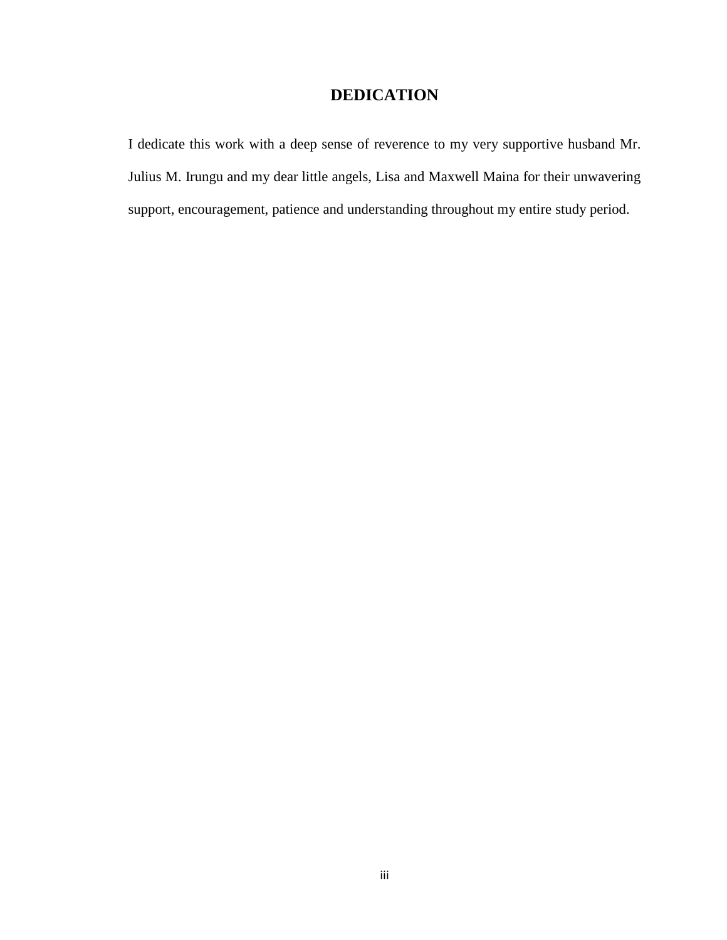# **DEDICATION**

<span id="page-2-0"></span>I dedicate this work with a deep sense of reverence to my very supportive husband Mr. Julius M. Irungu and my dear little angels, Lisa and Maxwell Maina for their unwavering support, encouragement, patience and understanding throughout my entire study period.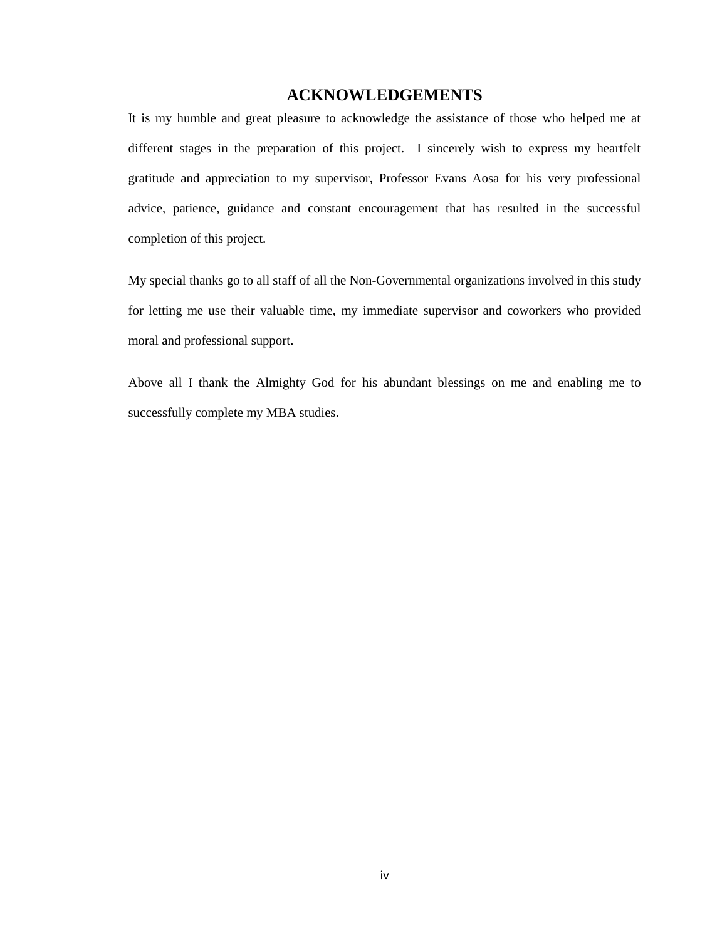# **ACKNOWLEDGEMENTS**

<span id="page-3-0"></span>It is my humble and great pleasure to acknowledge the assistance of those who helped me at different stages in the preparation of this project. I sincerely wish to express my heartfelt gratitude and appreciation to my supervisor, Professor Evans Aosa for his very professional advice, patience, guidance and constant encouragement that has resulted in the successful completion of this project.

My special thanks go to all staff of all the Non-Governmental organizations involved in this study for letting me use their valuable time, my immediate supervisor and coworkers who provided moral and professional support.

Above all I thank the Almighty God for his abundant blessings on me and enabling me to successfully complete my MBA studies.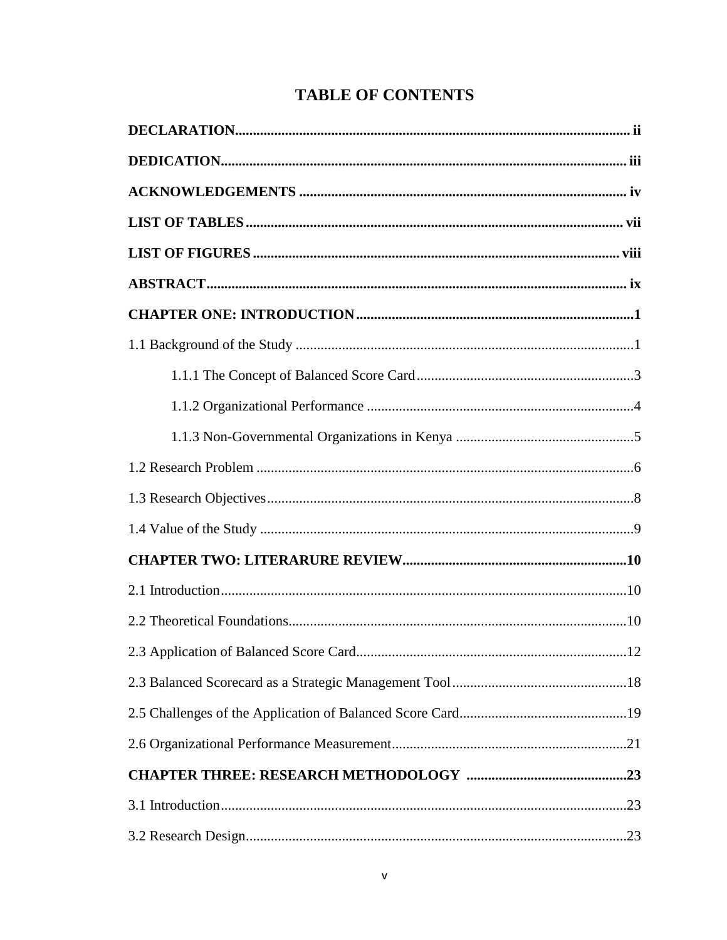# **TABLE OF CONTENTS**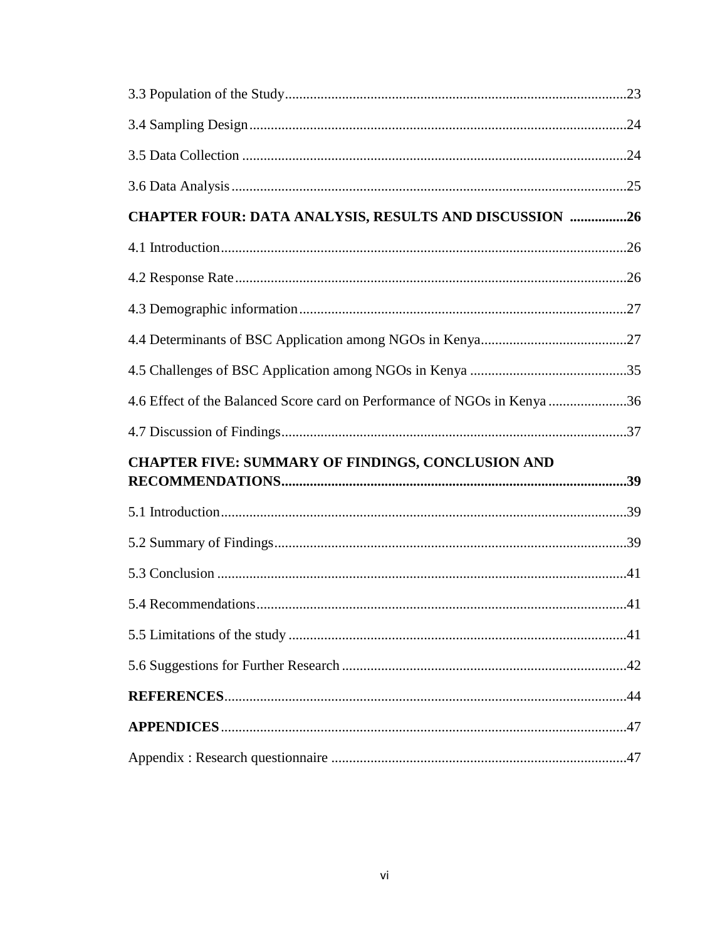| CHAPTER FOUR: DATA ANALYSIS, RESULTS AND DISCUSSION 26                   |  |
|--------------------------------------------------------------------------|--|
|                                                                          |  |
|                                                                          |  |
|                                                                          |  |
|                                                                          |  |
|                                                                          |  |
| 4.6 Effect of the Balanced Score card on Performance of NGOs in Kenya 36 |  |
|                                                                          |  |
| <b>CHAPTER FIVE: SUMMARY OF FINDINGS, CONCLUSION AND</b>                 |  |
|                                                                          |  |
|                                                                          |  |
|                                                                          |  |
|                                                                          |  |
|                                                                          |  |
|                                                                          |  |
|                                                                          |  |
|                                                                          |  |
|                                                                          |  |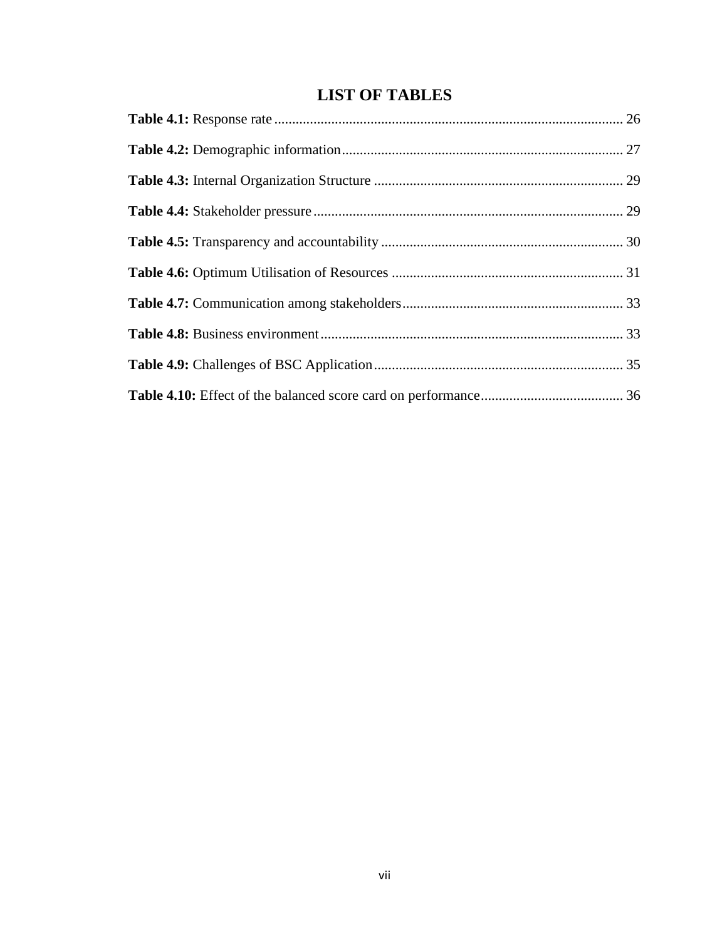# **LIST OF TABLES**

<span id="page-6-0"></span>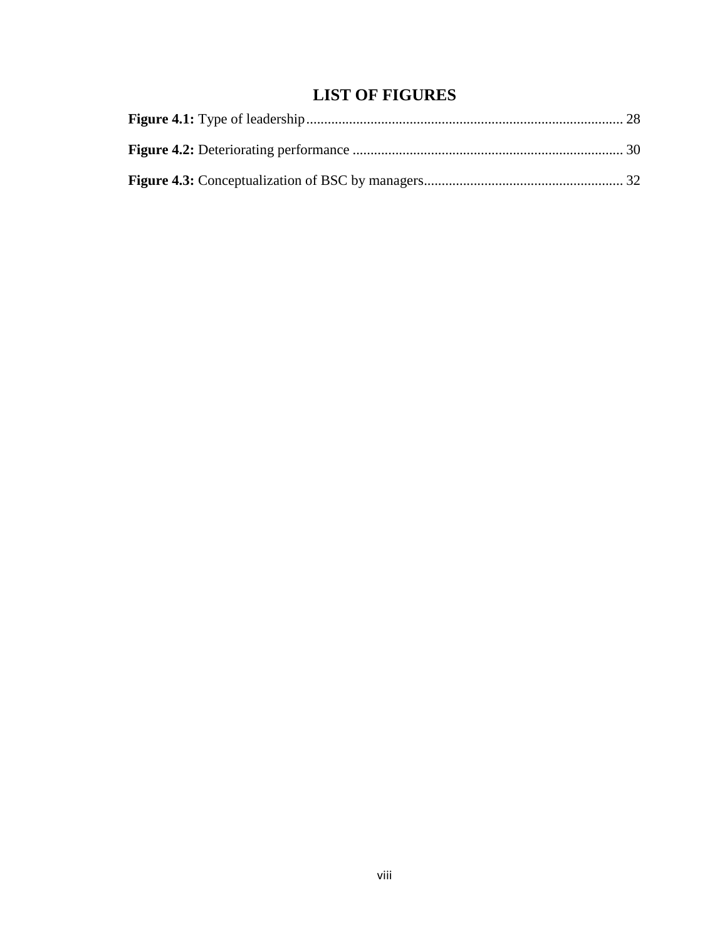# **LIST OF FIGURES**

<span id="page-7-0"></span>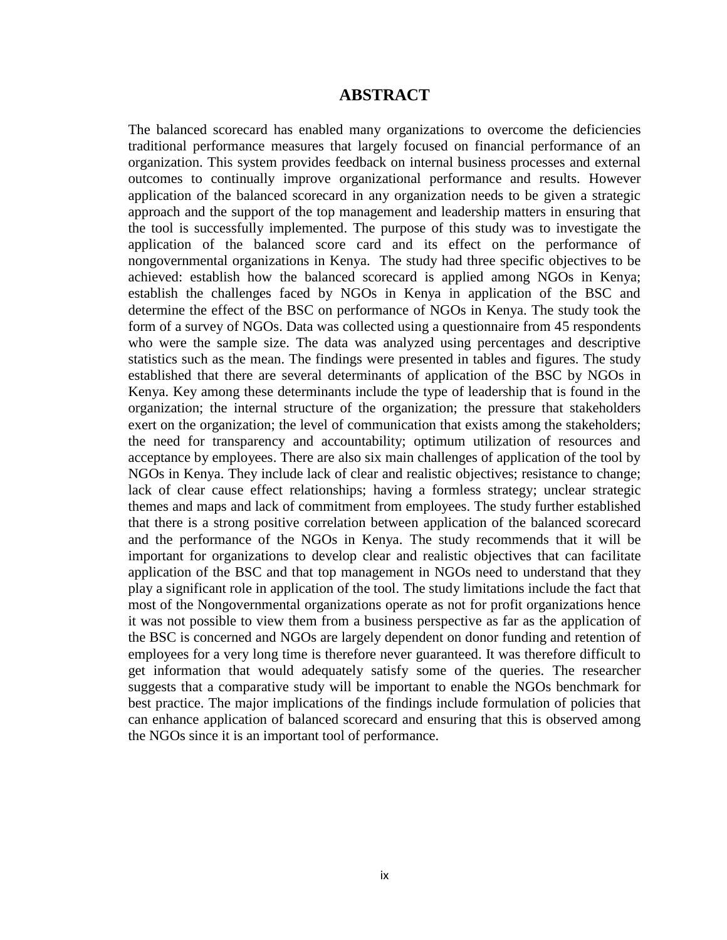### **ABSTRACT**

<span id="page-8-0"></span>The balanced scorecard has enabled many organizations to overcome the deficiencies traditional performance measures that largely focused on financial performance of an organization. This system provides feedback on internal business processes and external outcomes to continually improve organizational performance and results. However application of the balanced scorecard in any organization needs to be given a strategic approach and the support of the top management and leadership matters in ensuring that the tool is successfully implemented. The purpose of this study was to investigate the application of the balanced score card and its effect on the performance of nongovernmental organizations in Kenya. The study had three specific objectives to be achieved: establish how the balanced scorecard is applied among NGOs in Kenya; establish the challenges faced by NGOs in Kenya in application of the BSC and determine the effect of the BSC on performance of NGOs in Kenya. The study took the form of a survey of NGOs. Data was collected using a questionnaire from 45 respondents who were the sample size. The data was analyzed using percentages and descriptive statistics such as the mean. The findings were presented in tables and figures. The study established that there are several determinants of application of the BSC by NGOs in Kenya. Key among these determinants include the type of leadership that is found in the organization; the internal structure of the organization; the pressure that stakeholders exert on the organization; the level of communication that exists among the stakeholders; the need for transparency and accountability; optimum utilization of resources and acceptance by employees. There are also six main challenges of application of the tool by NGOs in Kenya. They include lack of clear and realistic objectives; resistance to change; lack of clear cause effect relationships; having a formless strategy; unclear strategic themes and maps and lack of commitment from employees. The study further established that there is a strong positive correlation between application of the balanced scorecard and the performance of the NGOs in Kenya. The study recommends that it will be important for organizations to develop clear and realistic objectives that can facilitate application of the BSC and that top management in NGOs need to understand that they play a significant role in application of the tool. The study limitations include the fact that most of the Nongovernmental organizations operate as not for profit organizations hence it was not possible to view them from a business perspective as far as the application of the BSC is concerned and NGOs are largely dependent on donor funding and retention of employees for a very long time is therefore never guaranteed. It was therefore difficult to get information that would adequately satisfy some of the queries. The researcher suggests that a comparative study will be important to enable the NGOs benchmark for best practice. The major implications of the findings include formulation of policies that can enhance application of balanced scorecard and ensuring that this is observed among the NGOs since it is an important tool of performance.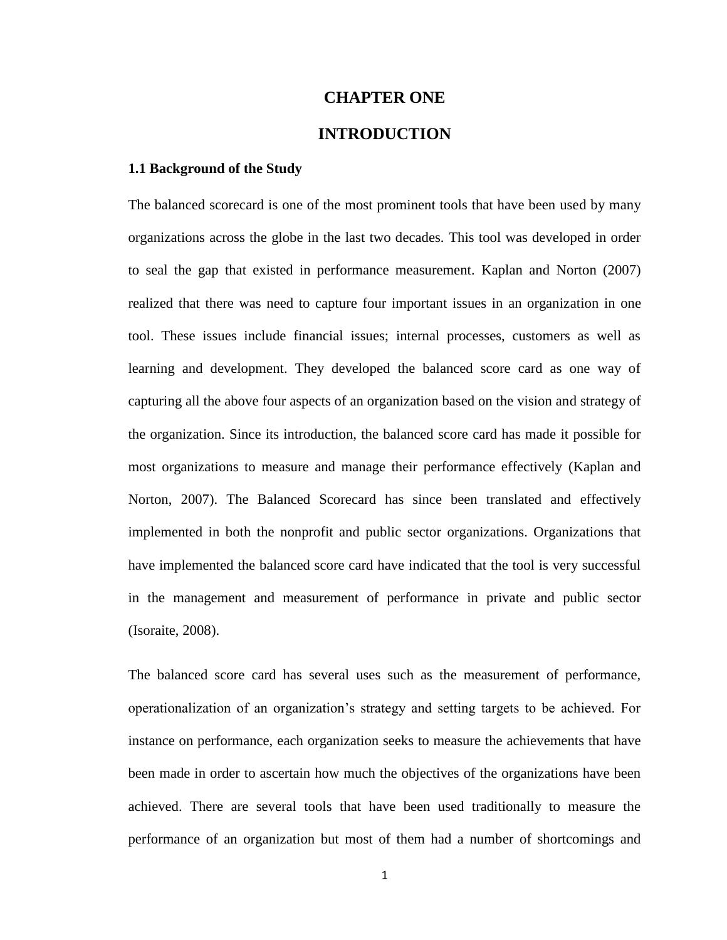# **CHAPTER ONE**

# **INTRODUCTION**

#### <span id="page-9-1"></span><span id="page-9-0"></span>**1.1 Background of the Study**

The balanced scorecard is one of the most prominent tools that have been used by many organizations across the globe in the last two decades. This tool was developed in order to seal the gap that existed in performance measurement. Kaplan and Norton (2007) realized that there was need to capture four important issues in an organization in one tool. These issues include financial issues; internal processes, customers as well as learning and development. They developed the balanced score card as one way of capturing all the above four aspects of an organization based on the vision and strategy of the organization. Since its introduction, the balanced score card has made it possible for most organizations to measure and manage their performance effectively (Kaplan and Norton, 2007). The Balanced Scorecard has since been translated and effectively implemented in both the nonprofit and public sector organizations. Organizations that have implemented the balanced score card have indicated that the tool is very successful in the management and measurement of performance in private and public sector (Isoraite, 2008).

The balanced score card has several uses such as the measurement of performance, operationalization of an organization's strategy and setting targets to be achieved. For instance on performance, each organization seeks to measure the achievements that have been made in order to ascertain how much the objectives of the organizations have been achieved. There are several tools that have been used traditionally to measure the performance of an organization but most of them had a number of shortcomings and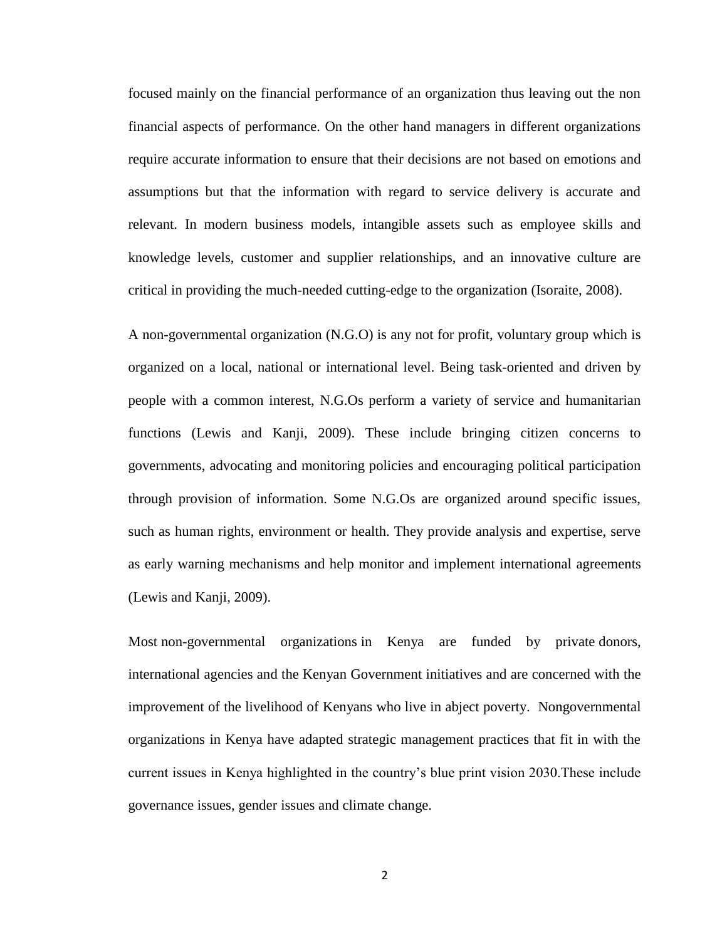focused mainly on the financial performance of an organization thus leaving out the non financial aspects of performance. On the other hand managers in different organizations require accurate information to ensure that their decisions are not based on emotions and assumptions but that the information with regard to service delivery is accurate and relevant. In modern business models, intangible assets such as employee skills and knowledge levels, customer and supplier relationships, and an innovative culture are critical in providing the much-needed cutting-edge to the organization (Isoraite, 2008).

A non-governmental organization (N.G.O) is any not for profit, voluntary group which is organized on a local, national or international level. Being task-oriented and driven by people with a common interest, N.G.Os perform a variety of service and humanitarian functions (Lewis and Kanji, 2009). These include bringing citizen concerns to governments, advocating and monitoring policies and encouraging political participation through provision of information. Some N.G.Os are organized around specific issues, such as human rights, environment or health. They provide analysis and expertise, serve as early warning mechanisms and help monitor and implement international agreements (Lewis and Kanji, 2009).

Most non-governmental organizations in Kenya are funded by private donors, international agencies and the Kenyan Government initiatives and are concerned with the improvement of the livelihood of Kenyans who live in abject poverty. Nongovernmental organizations in Kenya have adapted strategic management practices that fit in with the current issues in Kenya highlighted in the country's blue print vision 2030.These include governance issues, gender issues and climate change.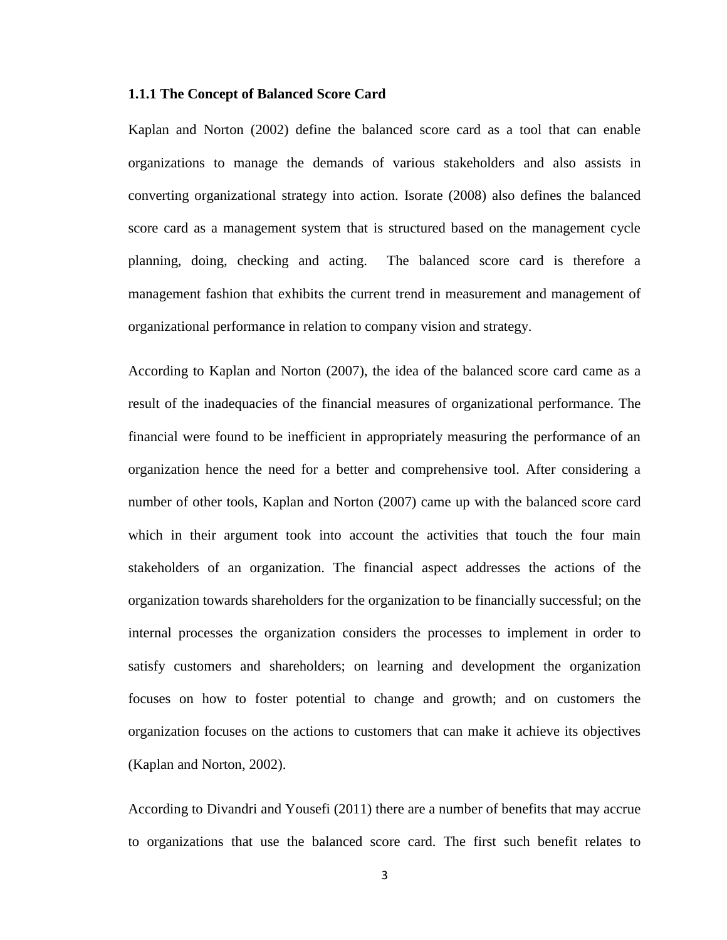#### <span id="page-11-0"></span>**1.1.1 The Concept of Balanced Score Card**

Kaplan and Norton (2002) define the balanced score card as a tool that can enable organizations to manage the demands of various stakeholders and also assists in converting organizational strategy into action. Isorate (2008) also defines the balanced score card as a management system that is structured based on the management cycle planning, doing, checking and acting. The balanced score card is therefore a management fashion that exhibits the current trend in measurement and management of organizational performance in relation to company vision and strategy.

According to Kaplan and Norton (2007), the idea of the balanced score card came as a result of the inadequacies of the financial measures of organizational performance. The financial were found to be inefficient in appropriately measuring the performance of an organization hence the need for a better and comprehensive tool. After considering a number of other tools, Kaplan and Norton (2007) came up with the balanced score card which in their argument took into account the activities that touch the four main stakeholders of an organization. The financial aspect addresses the actions of the organization towards shareholders for the organization to be financially successful; on the internal processes the organization considers the processes to implement in order to satisfy customers and shareholders; on learning and development the organization focuses on how to foster potential to change and growth; and on customers the organization focuses on the actions to customers that can make it achieve its objectives (Kaplan and Norton, 2002).

According to Divandri and Yousefi (2011) there are a number of benefits that may accrue to organizations that use the balanced score card. The first such benefit relates to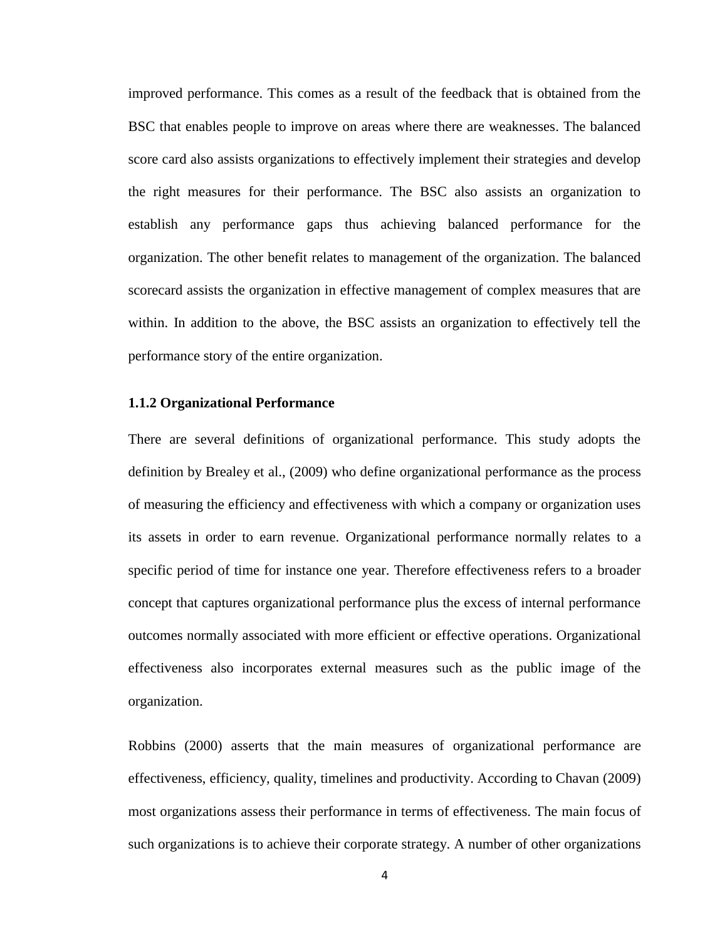improved performance. This comes as a result of the feedback that is obtained from the BSC that enables people to improve on areas where there are weaknesses. The balanced score card also assists organizations to effectively implement their strategies and develop the right measures for their performance. The BSC also assists an organization to establish any performance gaps thus achieving balanced performance for the organization. The other benefit relates to management of the organization. The balanced scorecard assists the organization in effective management of complex measures that are within. In addition to the above, the BSC assists an organization to effectively tell the performance story of the entire organization.

#### <span id="page-12-0"></span>**1.1.2 Organizational Performance**

There are several definitions of organizational performance. This study adopts the definition by Brealey et al., (2009) who define organizational performance as the process of measuring the efficiency and effectiveness with which a company or organization uses its assets in order to earn revenue. Organizational performance normally relates to a specific period of time for instance one year. Therefore effectiveness refers to a broader concept that captures organizational performance plus the excess of internal performance outcomes normally associated with more efficient or effective operations. Organizational effectiveness also incorporates external measures such as the public image of the organization.

Robbins (2000) asserts that the main measures of organizational performance are effectiveness, efficiency, quality, timelines and productivity. According to Chavan (2009) most organizations assess their performance in terms of effectiveness. The main focus of such organizations is to achieve their corporate strategy. A number of other organizations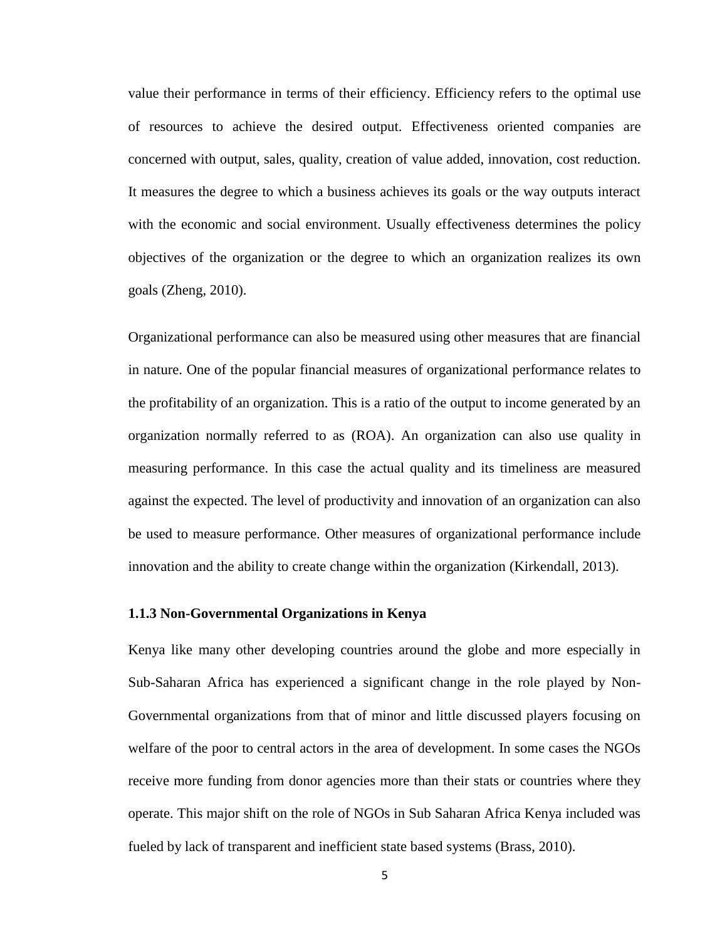value their performance in terms of their efficiency. Efficiency refers to the optimal use of resources to achieve the desired output. Effectiveness oriented companies are concerned with output, sales, quality, creation of value added, innovation, cost reduction. It measures the degree to which a business achieves its goals or the way outputs interact with the economic and social environment. Usually effectiveness determines the policy objectives of the organization or the degree to which an organization realizes its own goals (Zheng, 2010).

Organizational performance can also be measured using other measures that are financial in nature. One of the popular financial measures of organizational performance relates to the profitability of an organization. This is a ratio of the output to income generated by an organization normally referred to as (ROA). An organization can also use quality in measuring performance. In this case the actual quality and its timeliness are measured against the expected. The level of productivity and innovation of an organization can also be used to measure performance. Other measures of organizational performance include innovation and the ability to create change within the organization (Kirkendall, 2013).

### <span id="page-13-0"></span>**1.1.3 Non-Governmental Organizations in Kenya**

Kenya like many other developing countries around the globe and more especially in Sub-Saharan Africa has experienced a significant change in the role played by Non-Governmental organizations from that of minor and little discussed players focusing on welfare of the poor to central actors in the area of development. In some cases the NGOs receive more funding from donor agencies more than their stats or countries where they operate. This major shift on the role of NGOs in Sub Saharan Africa Kenya included was fueled by lack of transparent and inefficient state based systems (Brass, 2010).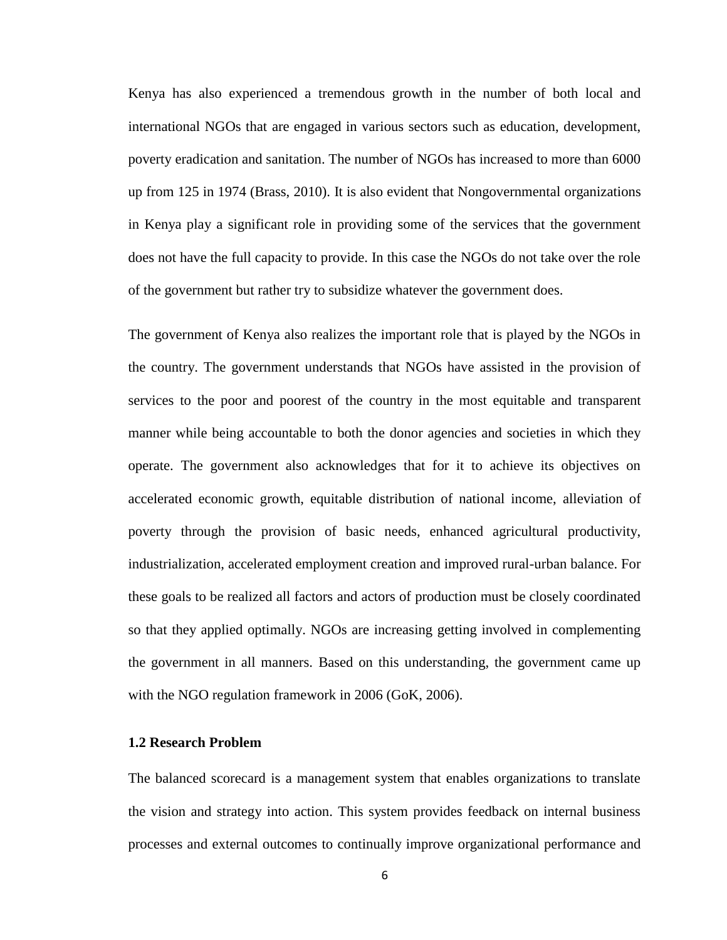Kenya has also experienced a tremendous growth in the number of both local and international NGOs that are engaged in various sectors such as education, development, poverty eradication and sanitation. The number of NGOs has increased to more than 6000 up from 125 in 1974 (Brass, 2010). It is also evident that Nongovernmental organizations in Kenya play a significant role in providing some of the services that the government does not have the full capacity to provide. In this case the NGOs do not take over the role of the government but rather try to subsidize whatever the government does.

The government of Kenya also realizes the important role that is played by the NGOs in the country. The government understands that NGOs have assisted in the provision of services to the poor and poorest of the country in the most equitable and transparent manner while being accountable to both the donor agencies and societies in which they operate. The government also acknowledges that for it to achieve its objectives on accelerated economic growth, equitable distribution of national income, alleviation of poverty through the provision of basic needs, enhanced agricultural productivity, industrialization, accelerated employment creation and improved rural-urban balance. For these goals to be realized all factors and actors of production must be closely coordinated so that they applied optimally. NGOs are increasing getting involved in complementing the government in all manners. Based on this understanding, the government came up with the NGO regulation framework in 2006 (GoK, 2006).

### <span id="page-14-0"></span>**1.2 Research Problem**

The balanced scorecard is a management system that enables organizations to translate the vision and strategy into action. This system provides feedback on internal business processes and external outcomes to continually improve organizational performance and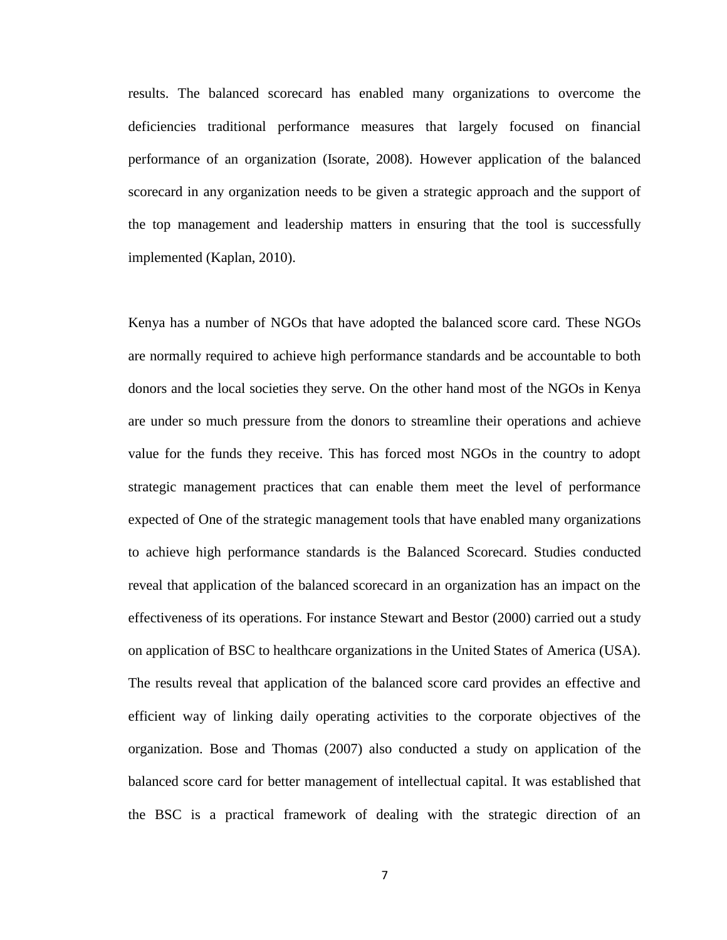results. The balanced scorecard has enabled many organizations to overcome the deficiencies traditional performance measures that largely focused on financial performance of an organization (Isorate, 2008). However application of the balanced scorecard in any organization needs to be given a strategic approach and the support of the top management and leadership matters in ensuring that the tool is successfully implemented (Kaplan, 2010).

Kenya has a number of NGOs that have adopted the balanced score card. These NGOs are normally required to achieve high performance standards and be accountable to both donors and the local societies they serve. On the other hand most of the NGOs in Kenya are under so much pressure from the donors to streamline their operations and achieve value for the funds they receive. This has forced most NGOs in the country to adopt strategic management practices that can enable them meet the level of performance expected of One of the strategic management tools that have enabled many organizations to achieve high performance standards is the Balanced Scorecard. Studies conducted reveal that application of the balanced scorecard in an organization has an impact on the effectiveness of its operations. For instance Stewart and Bestor (2000) carried out a study on application of BSC to healthcare organizations in the United States of America (USA). The results reveal that application of the balanced score card provides an effective and efficient way of linking daily operating activities to the corporate objectives of the organization. Bose and Thomas (2007) also conducted a study on application of the balanced score card for better management of intellectual capital. It was established that the BSC is a practical framework of dealing with the strategic direction of an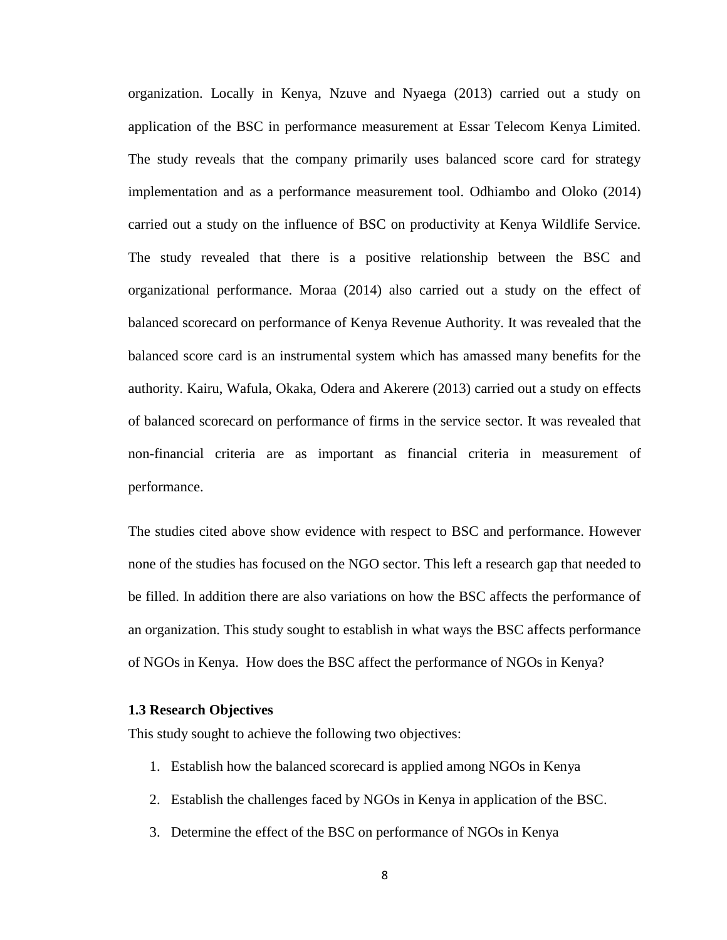organization. Locally in Kenya, Nzuve and Nyaega (2013) carried out a study on application of the BSC in performance measurement at Essar Telecom Kenya Limited. The study reveals that the company primarily uses balanced score card for strategy implementation and as a performance measurement tool. Odhiambo and Oloko (2014) carried out a study on the influence of BSC on productivity at Kenya Wildlife Service. The study revealed that there is a positive relationship between the BSC and organizational performance. Moraa (2014) also carried out a study on the effect of balanced scorecard on performance of Kenya Revenue Authority. It was revealed that the balanced score card is an instrumental system which has amassed many benefits for the authority. Kairu, Wafula, Okaka, Odera and Akerere (2013) carried out a study on effects of balanced scorecard on performance of firms in the service sector. It was revealed that non-financial criteria are as important as financial criteria in measurement of performance.

The studies cited above show evidence with respect to BSC and performance. However none of the studies has focused on the NGO sector. This left a research gap that needed to be filled. In addition there are also variations on how the BSC affects the performance of an organization. This study sought to establish in what ways the BSC affects performance of NGOs in Kenya. How does the BSC affect the performance of NGOs in Kenya?

#### <span id="page-16-0"></span>**1.3 Research Objectives**

This study sought to achieve the following two objectives:

- 1. Establish how the balanced scorecard is applied among NGOs in Kenya
- 2. Establish the challenges faced by NGOs in Kenya in application of the BSC.
- 3. Determine the effect of the BSC on performance of NGOs in Kenya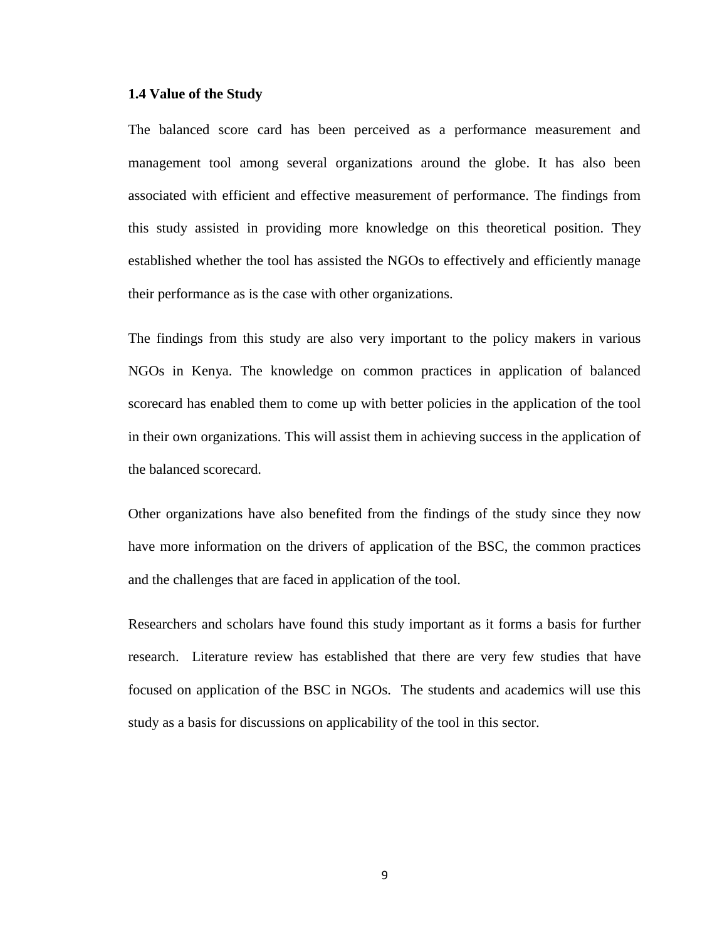#### <span id="page-17-0"></span>**1.4 Value of the Study**

The balanced score card has been perceived as a performance measurement and management tool among several organizations around the globe. It has also been associated with efficient and effective measurement of performance. The findings from this study assisted in providing more knowledge on this theoretical position. They established whether the tool has assisted the NGOs to effectively and efficiently manage their performance as is the case with other organizations.

The findings from this study are also very important to the policy makers in various NGOs in Kenya. The knowledge on common practices in application of balanced scorecard has enabled them to come up with better policies in the application of the tool in their own organizations. This will assist them in achieving success in the application of the balanced scorecard.

Other organizations have also benefited from the findings of the study since they now have more information on the drivers of application of the BSC, the common practices and the challenges that are faced in application of the tool.

Researchers and scholars have found this study important as it forms a basis for further research. Literature review has established that there are very few studies that have focused on application of the BSC in NGOs. The students and academics will use this study as a basis for discussions on applicability of the tool in this sector.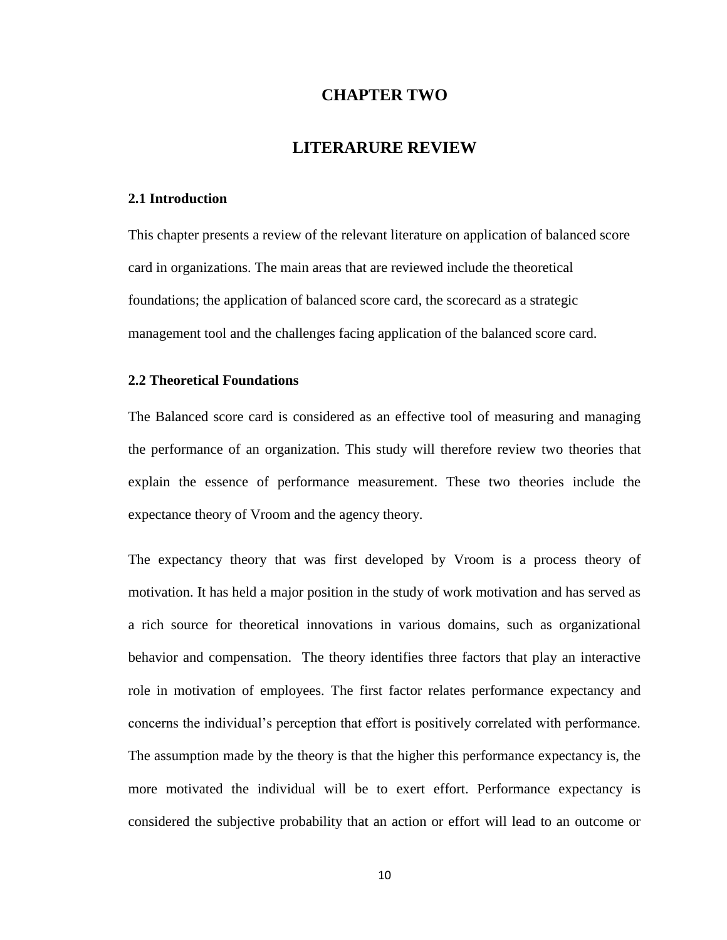# **CHAPTER TWO**

### **LITERARURE REVIEW**

#### <span id="page-18-1"></span><span id="page-18-0"></span>**2.1 Introduction**

This chapter presents a review of the relevant literature on application of balanced score card in organizations. The main areas that are reviewed include the theoretical foundations; the application of balanced score card, the scorecard as a strategic management tool and the challenges facing application of the balanced score card.

### <span id="page-18-2"></span>**2.2 Theoretical Foundations**

The Balanced score card is considered as an effective tool of measuring and managing the performance of an organization. This study will therefore review two theories that explain the essence of performance measurement. These two theories include the expectance theory of Vroom and the agency theory.

The expectancy theory that was first developed by Vroom is a process theory of motivation. It has held a major position in the study of work motivation and has served as a rich source for theoretical innovations in various domains, such as organizational behavior and compensation. The theory identifies three factors that play an interactive role in motivation of employees. The first factor relates performance expectancy and concerns the individual's perception that effort is positively correlated with performance. The assumption made by the theory is that the higher this performance expectancy is, the more motivated the individual will be to exert effort. Performance expectancy is considered the subjective probability that an action or effort will lead to an outcome or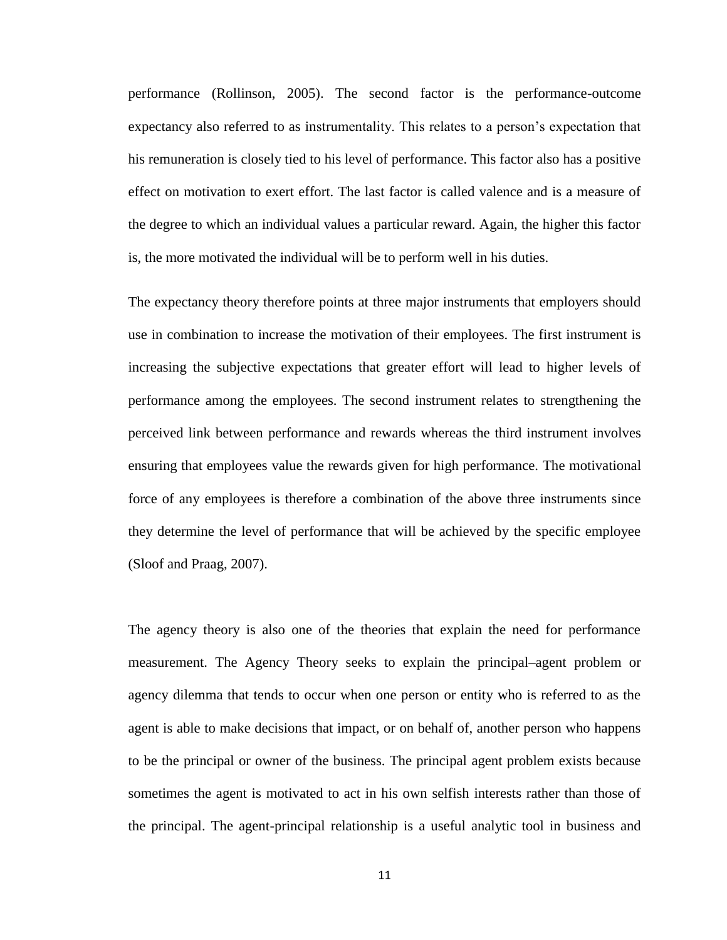performance (Rollinson, 2005). The second factor is the performance-outcome expectancy also referred to as instrumentality. This relates to a person's expectation that his remuneration is closely tied to his level of performance. This factor also has a positive effect on motivation to exert effort. The last factor is called valence and is a measure of the degree to which an individual values a particular reward. Again, the higher this factor is, the more motivated the individual will be to perform well in his duties.

The expectancy theory therefore points at three major instruments that employers should use in combination to increase the motivation of their employees. The first instrument is increasing the subjective expectations that greater effort will lead to higher levels of performance among the employees. The second instrument relates to strengthening the perceived link between performance and rewards whereas the third instrument involves ensuring that employees value the rewards given for high performance. The motivational force of any employees is therefore a combination of the above three instruments since they determine the level of performance that will be achieved by the specific employee (Sloof and Praag, 2007).

The agency theory is also one of the theories that explain the need for performance measurement. The Agency Theory seeks to explain the principal–agent problem or agency dilemma that tends to occur when one person or entity who is referred to as the agent is able to make decisions that impact, or on behalf of, another person who happens to be the principal or owner of the business. The principal agent problem exists because sometimes the agent is motivated to act in his own selfish interests rather than those of the principal. The agent-principal relationship is a useful analytic tool in business and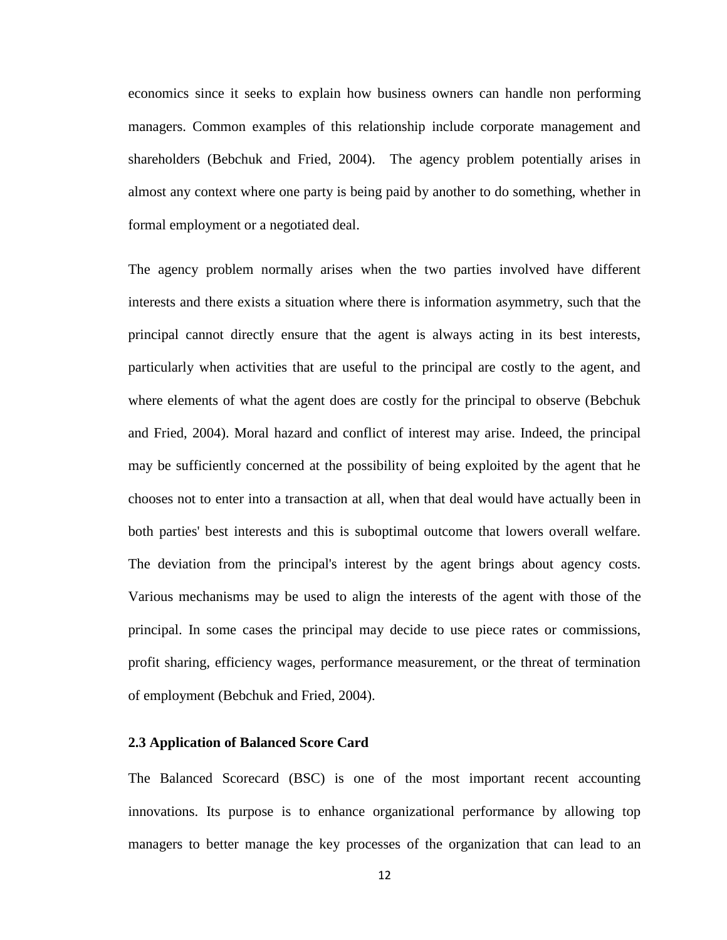economics since it seeks to explain how business owners can handle non performing managers. Common examples of this relationship include corporate management and shareholders (Bebchuk and Fried, 2004). The agency problem potentially arises in almost any context where one party is being paid by another to do something, whether in formal employment or a negotiated deal.

The agency problem normally arises when the two parties involved have different interests and there exists a situation where there is information asymmetry, such that the principal cannot directly ensure that the agent is always acting in its best interests, particularly when activities that are useful to the principal are costly to the agent, and where elements of what the agent does are costly for the principal to observe (Bebchuk and Fried, 2004). Moral hazard and conflict of interest may arise. Indeed, the principal may be sufficiently concerned at the possibility of being exploited by the agent that he chooses not to enter into a transaction at all, when that deal would have actually been in both parties' best interests and this is suboptimal outcome that lowers overall welfare. The deviation from the principal's interest by the agent brings about agency costs. Various mechanisms may be used to align the interests of the agent with those of the principal. In some cases the principal may decide to use piece rates or commissions, profit sharing, efficiency wages, performance measurement, or the threat of termination of employment (Bebchuk and Fried, 2004).

#### <span id="page-20-0"></span>**2.3 Application of Balanced Score Card**

The Balanced Scorecard (BSC) is one of the most important recent accounting innovations. Its purpose is to enhance organizational performance by allowing top managers to better manage the key processes of the organization that can lead to an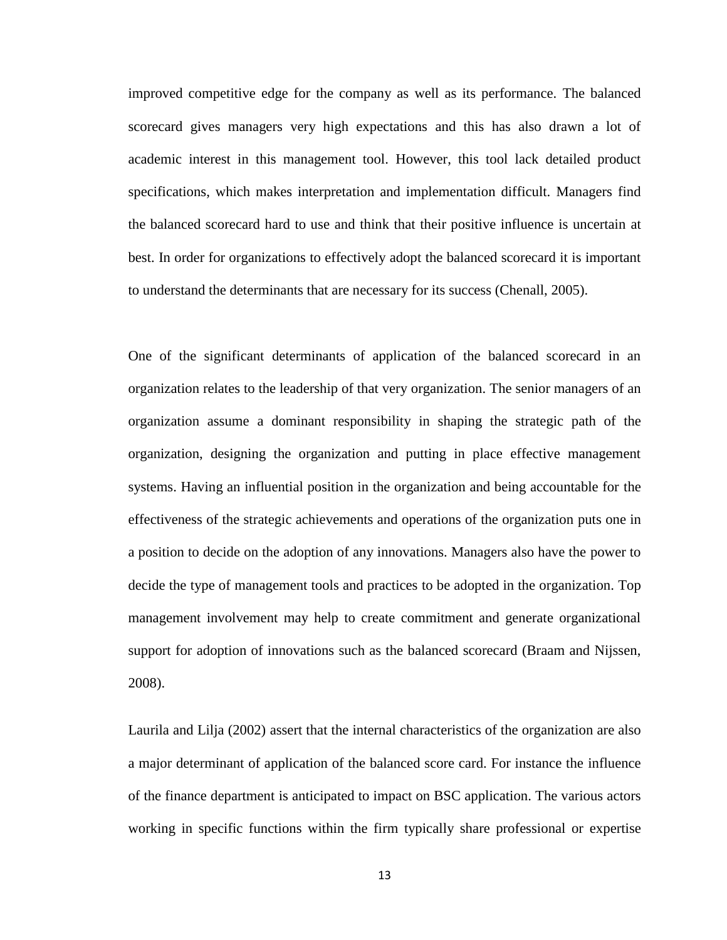improved competitive edge for the company as well as its performance. The balanced scorecard gives managers very high expectations and this has also drawn a lot of academic interest in this management tool. However, this tool lack detailed product specifications, which makes interpretation and implementation difficult. Managers find the balanced scorecard hard to use and think that their positive influence is uncertain at best. In order for organizations to effectively adopt the balanced scorecard it is important to understand the determinants that are necessary for its success (Chenall, 2005).

One of the significant determinants of application of the balanced scorecard in an organization relates to the leadership of that very organization. The senior managers of an organization assume a dominant responsibility in shaping the strategic path of the organization, designing the organization and putting in place effective management systems. Having an influential position in the organization and being accountable for the effectiveness of the strategic achievements and operations of the organization puts one in a position to decide on the adoption of any innovations. Managers also have the power to decide the type of management tools and practices to be adopted in the organization. Top management involvement may help to create commitment and generate organizational support for adoption of innovations such as the balanced scorecard (Braam and Nijssen, 2008).

Laurila and Lilja (2002) assert that the internal characteristics of the organization are also a major determinant of application of the balanced score card. For instance the influence of the finance department is anticipated to impact on BSC application. The various actors working in specific functions within the firm typically share professional or expertise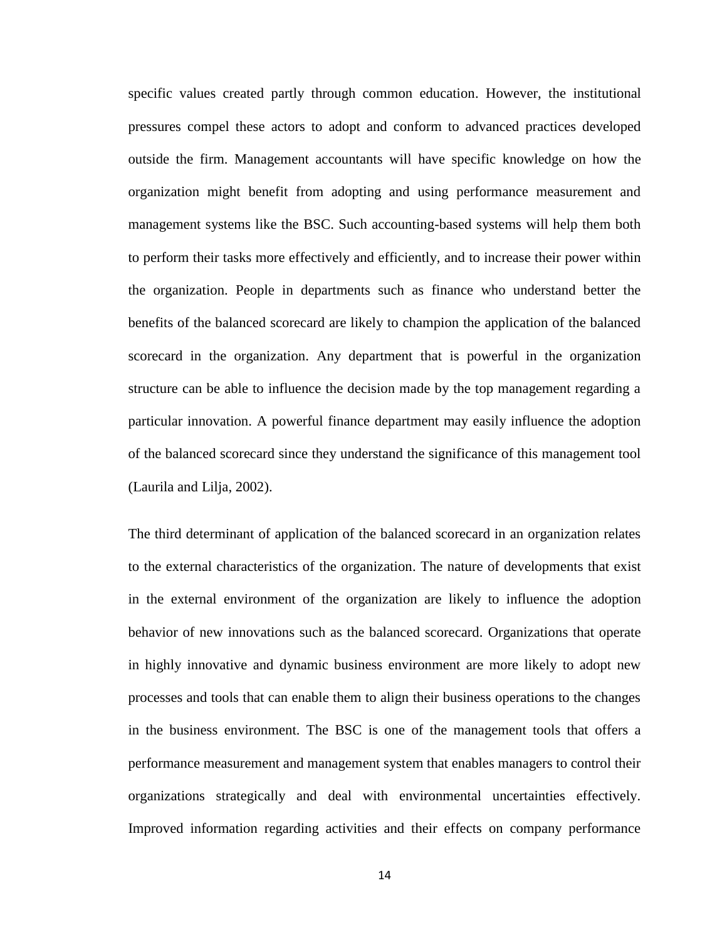specific values created partly through common education. However, the institutional pressures compel these actors to adopt and conform to advanced practices developed outside the firm. Management accountants will have specific knowledge on how the organization might benefit from adopting and using performance measurement and management systems like the BSC. Such accounting-based systems will help them both to perform their tasks more effectively and efficiently, and to increase their power within the organization. People in departments such as finance who understand better the benefits of the balanced scorecard are likely to champion the application of the balanced scorecard in the organization. Any department that is powerful in the organization structure can be able to influence the decision made by the top management regarding a particular innovation. A powerful finance department may easily influence the adoption of the balanced scorecard since they understand the significance of this management tool (Laurila and Lilja, 2002).

The third determinant of application of the balanced scorecard in an organization relates to the external characteristics of the organization. The nature of developments that exist in the external environment of the organization are likely to influence the adoption behavior of new innovations such as the balanced scorecard. Organizations that operate in highly innovative and dynamic business environment are more likely to adopt new processes and tools that can enable them to align their business operations to the changes in the business environment. The BSC is one of the management tools that offers a performance measurement and management system that enables managers to control their organizations strategically and deal with environmental uncertainties effectively. Improved information regarding activities and their effects on company performance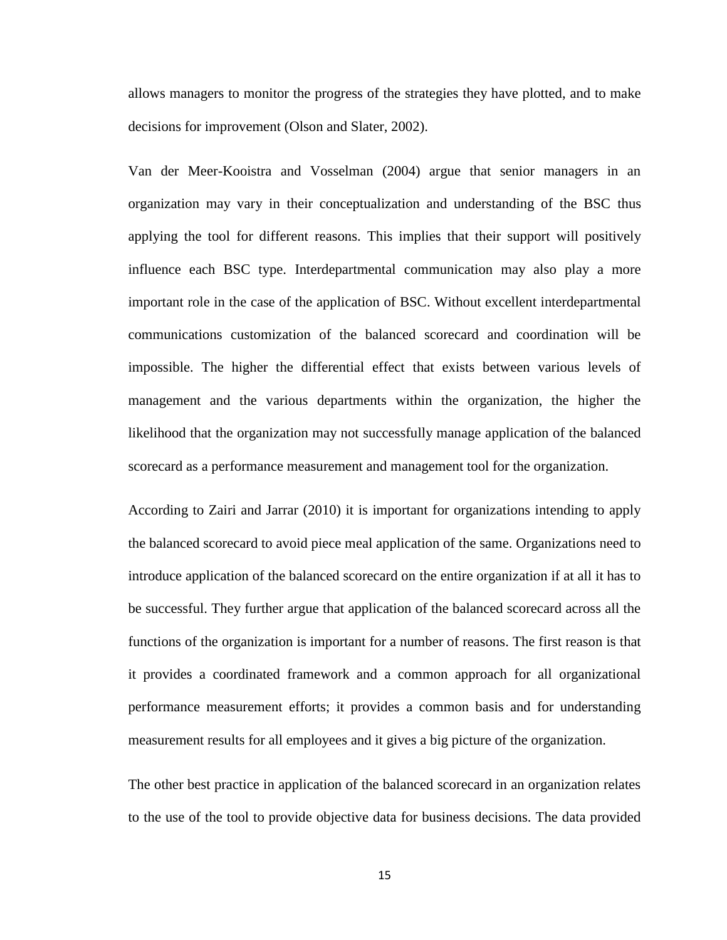allows managers to monitor the progress of the strategies they have plotted, and to make decisions for improvement (Olson and Slater, 2002).

Van der Meer-Kooistra and Vosselman (2004) argue that senior managers in an organization may vary in their conceptualization and understanding of the BSC thus applying the tool for different reasons. This implies that their support will positively influence each BSC type. Interdepartmental communication may also play a more important role in the case of the application of BSC. Without excellent interdepartmental communications customization of the balanced scorecard and coordination will be impossible. The higher the differential effect that exists between various levels of management and the various departments within the organization, the higher the likelihood that the organization may not successfully manage application of the balanced scorecard as a performance measurement and management tool for the organization.

According to Zairi and Jarrar (2010) it is important for organizations intending to apply the balanced scorecard to avoid piece meal application of the same. Organizations need to introduce application of the balanced scorecard on the entire organization if at all it has to be successful. They further argue that application of the balanced scorecard across all the functions of the organization is important for a number of reasons. The first reason is that it provides a coordinated framework and a common approach for all organizational performance measurement efforts; it provides a common basis and for understanding measurement results for all employees and it gives a big picture of the organization.

The other best practice in application of the balanced scorecard in an organization relates to the use of the tool to provide objective data for business decisions. The data provided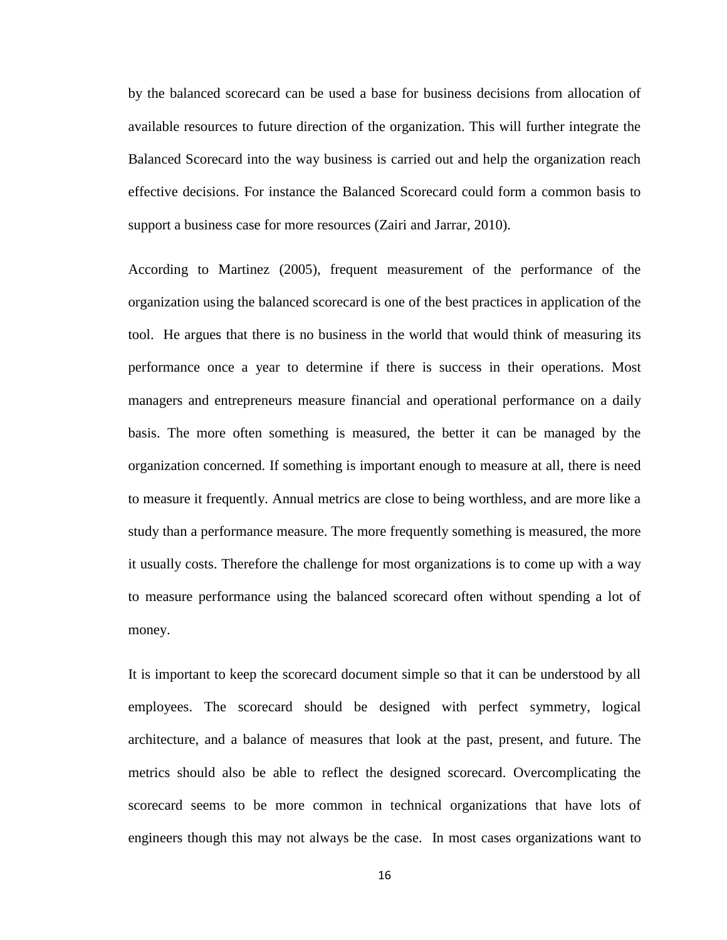by the balanced scorecard can be used a base for business decisions from allocation of available resources to future direction of the organization. This will further integrate the Balanced Scorecard into the way business is carried out and help the organization reach effective decisions. For instance the Balanced Scorecard could form a common basis to support a business case for more resources (Zairi and Jarrar, 2010).

According to Martinez (2005), frequent measurement of the performance of the organization using the balanced scorecard is one of the best practices in application of the tool. He argues that there is no business in the world that would think of measuring its performance once a year to determine if there is success in their operations. Most managers and entrepreneurs measure financial and operational performance on a daily basis. The more often something is measured, the better it can be managed by the organization concerned. If something is important enough to measure at all, there is need to measure it frequently. Annual metrics are close to being worthless, and are more like a study than a performance measure. The more frequently something is measured, the more it usually costs. Therefore the challenge for most organizations is to come up with a way to measure performance using the balanced scorecard often without spending a lot of money.

It is important to keep the scorecard document simple so that it can be understood by all employees. The scorecard should be designed with perfect symmetry, logical architecture, and a balance of measures that look at the past, present, and future. The metrics should also be able to reflect the designed scorecard. Overcomplicating the scorecard seems to be more common in technical organizations that have lots of engineers though this may not always be the case. In most cases organizations want to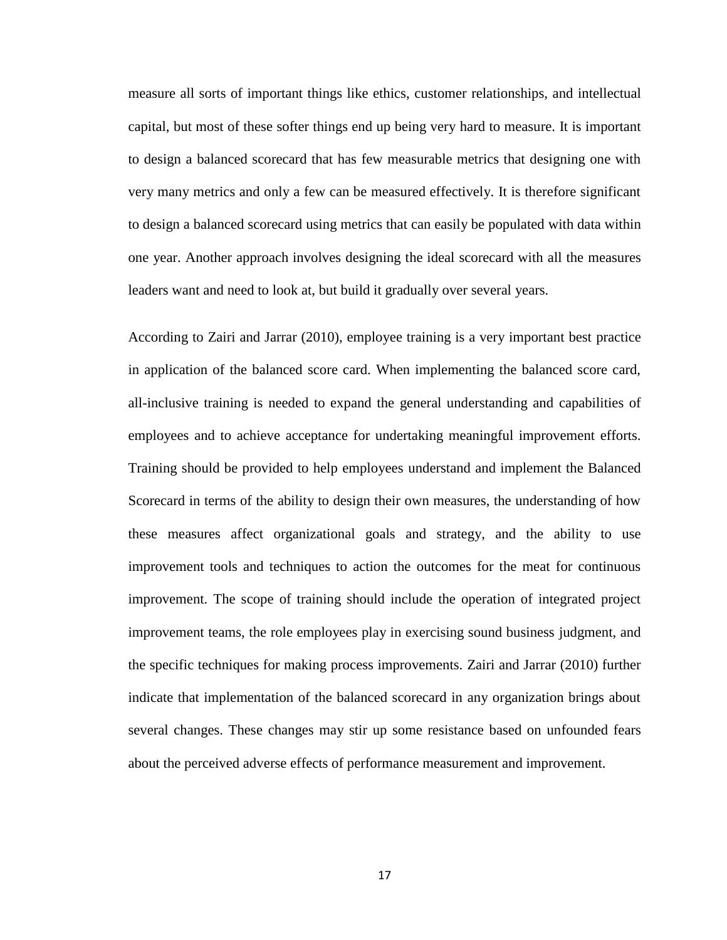measure all sorts of important things like ethics, customer relationships, and intellectual capital, but most of these softer things end up being very hard to measure. It is important to design a balanced scorecard that has few measurable metrics that designing one with very many metrics and only a few can be measured effectively. It is therefore significant to design a balanced scorecard using metrics that can easily be populated with data within one year. Another approach involves designing the ideal scorecard with all the measures leaders want and need to look at, but build it gradually over several years.

According to Zairi and Jarrar (2010), employee training is a very important best practice in application of the balanced score card. When implementing the balanced score card, all-inclusive training is needed to expand the general understanding and capabilities of employees and to achieve acceptance for undertaking meaningful improvement efforts. Training should be provided to help employees understand and implement the Balanced Scorecard in terms of the ability to design their own measures, the understanding of how these measures affect organizational goals and strategy, and the ability to use improvement tools and techniques to action the outcomes for the meat for continuous improvement. The scope of training should include the operation of integrated project improvement teams, the role employees play in exercising sound business judgment, and the specific techniques for making process improvements. Zairi and Jarrar (2010) further indicate that implementation of the balanced scorecard in any organization brings about several changes. These changes may stir up some resistance based on unfounded fears about the perceived adverse effects of performance measurement and improvement.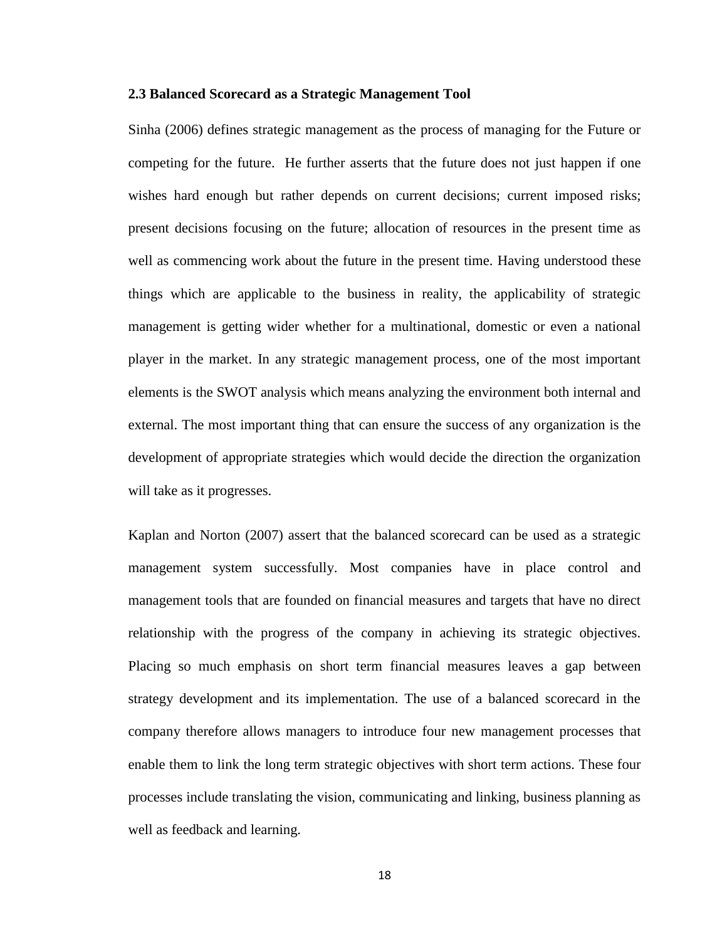#### <span id="page-26-0"></span>**2.3 Balanced Scorecard as a Strategic Management Tool**

Sinha (2006) defines strategic management as the process of managing for the Future or competing for the future. He further asserts that the future does not just happen if one wishes hard enough but rather depends on current decisions; current imposed risks; present decisions focusing on the future; allocation of resources in the present time as well as commencing work about the future in the present time. Having understood these things which are applicable to the business in reality, the applicability of strategic management is getting wider whether for a multinational, domestic or even a national player in the market. In any strategic management process, one of the most important elements is the SWOT analysis which means analyzing the environment both internal and external. The most important thing that can ensure the success of any organization is the development of appropriate strategies which would decide the direction the organization will take as it progresses.

Kaplan and Norton (2007) assert that the balanced scorecard can be used as a strategic management system successfully. Most companies have in place control and management tools that are founded on financial measures and targets that have no direct relationship with the progress of the company in achieving its strategic objectives. Placing so much emphasis on short term financial measures leaves a gap between strategy development and its implementation. The use of a balanced scorecard in the company therefore allows managers to introduce four new management processes that enable them to link the long term strategic objectives with short term actions. These four processes include translating the vision, communicating and linking, business planning as well as feedback and learning.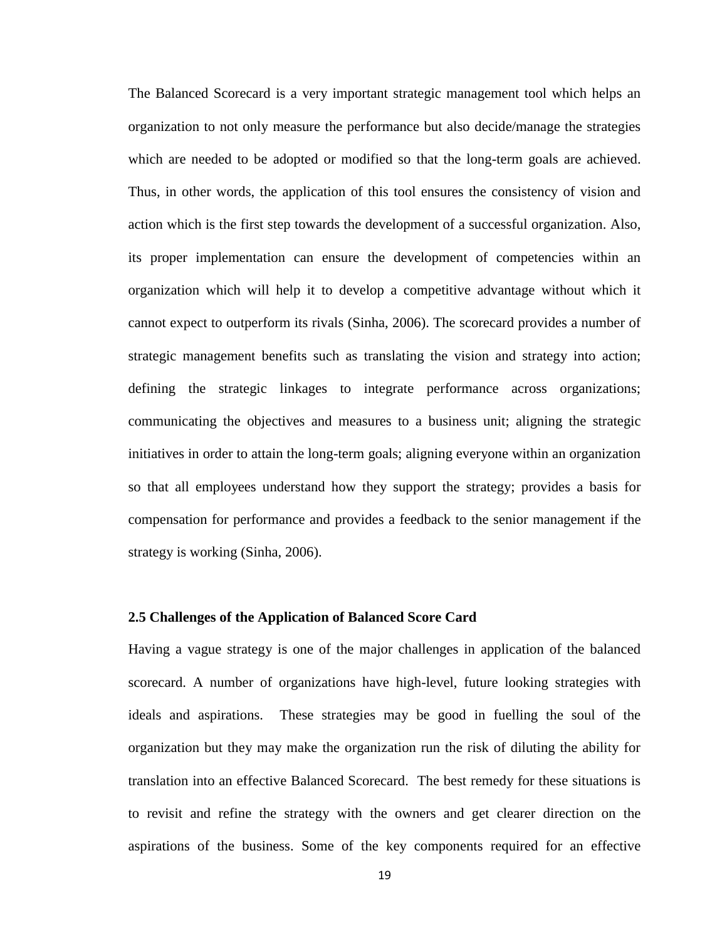The Balanced Scorecard is a very important strategic management tool which helps an organization to not only measure the performance but also decide/manage the strategies which are needed to be adopted or modified so that the long-term goals are achieved. Thus, in other words, the application of this tool ensures the consistency of vision and action which is the first step towards the development of a successful organization. Also, its proper implementation can ensure the development of competencies within an organization which will help it to develop a competitive advantage without which it cannot expect to outperform its rivals (Sinha, 2006). The scorecard provides a number of strategic management benefits such as translating the vision and strategy into action; defining the strategic linkages to integrate performance across organizations; communicating the objectives and measures to a business unit; aligning the strategic initiatives in order to attain the long-term goals; aligning everyone within an organization so that all employees understand how they support the strategy; provides a basis for compensation for performance and provides a feedback to the senior management if the strategy is working (Sinha, 2006).

#### <span id="page-27-0"></span>**2.5 Challenges of the Application of Balanced Score Card**

Having a vague strategy is one of the major challenges in application of the balanced scorecard. A number of organizations have high-level, future looking strategies with ideals and aspirations. These strategies may be good in fuelling the soul of the organization but they may make the organization run the risk of diluting the ability for translation into an effective Balanced Scorecard. The best remedy for these situations is to revisit and refine the strategy with the owners and get clearer direction on the aspirations of the business. Some of the key components required for an effective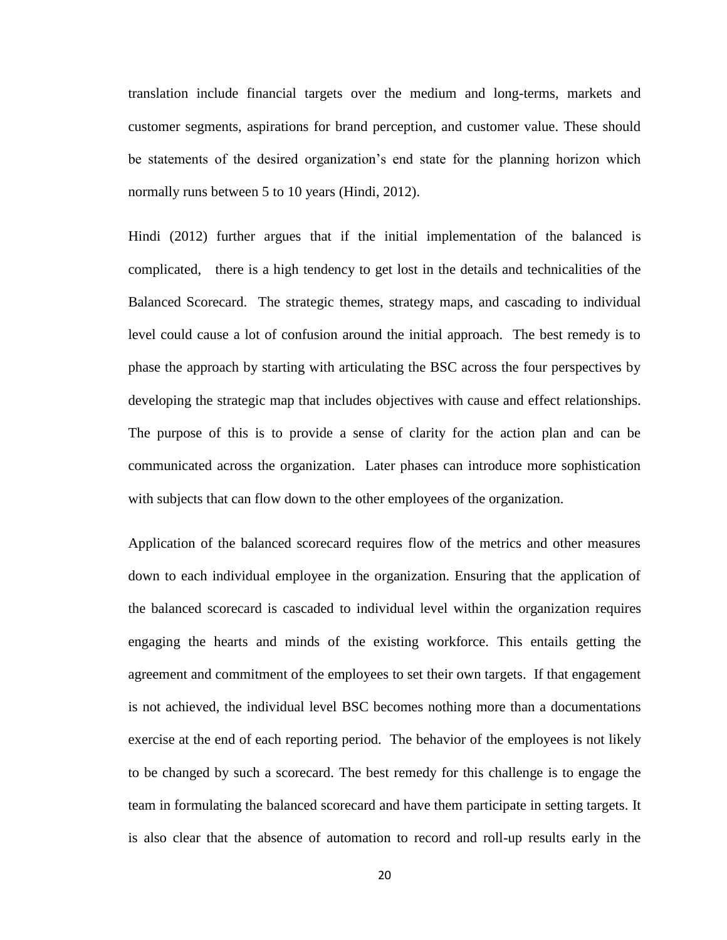translation include financial targets over the medium and long-terms, markets and customer segments, aspirations for brand perception, and customer value. These should be statements of the desired organization's end state for the planning horizon which normally runs between 5 to 10 years (Hindi, 2012).

Hindi (2012) further argues that if the initial implementation of the balanced is complicated, there is a high tendency to get lost in the details and technicalities of the Balanced Scorecard. The strategic themes, strategy maps, and cascading to individual level could cause a lot of confusion around the initial approach. The best remedy is to phase the approach by starting with articulating the BSC across the four perspectives by developing the strategic map that includes objectives with cause and effect relationships. The purpose of this is to provide a sense of clarity for the action plan and can be communicated across the organization. Later phases can introduce more sophistication with subjects that can flow down to the other employees of the organization.

Application of the balanced scorecard requires flow of the metrics and other measures down to each individual employee in the organization. Ensuring that the application of the balanced scorecard is cascaded to individual level within the organization requires engaging the hearts and minds of the existing workforce. This entails getting the agreement and commitment of the employees to set their own targets. If that engagement is not achieved, the individual level BSC becomes nothing more than a documentations exercise at the end of each reporting period. The behavior of the employees is not likely to be changed by such a scorecard. The best remedy for this challenge is to engage the team in formulating the balanced scorecard and have them participate in setting targets. It is also clear that the absence of automation to record and roll-up results early in the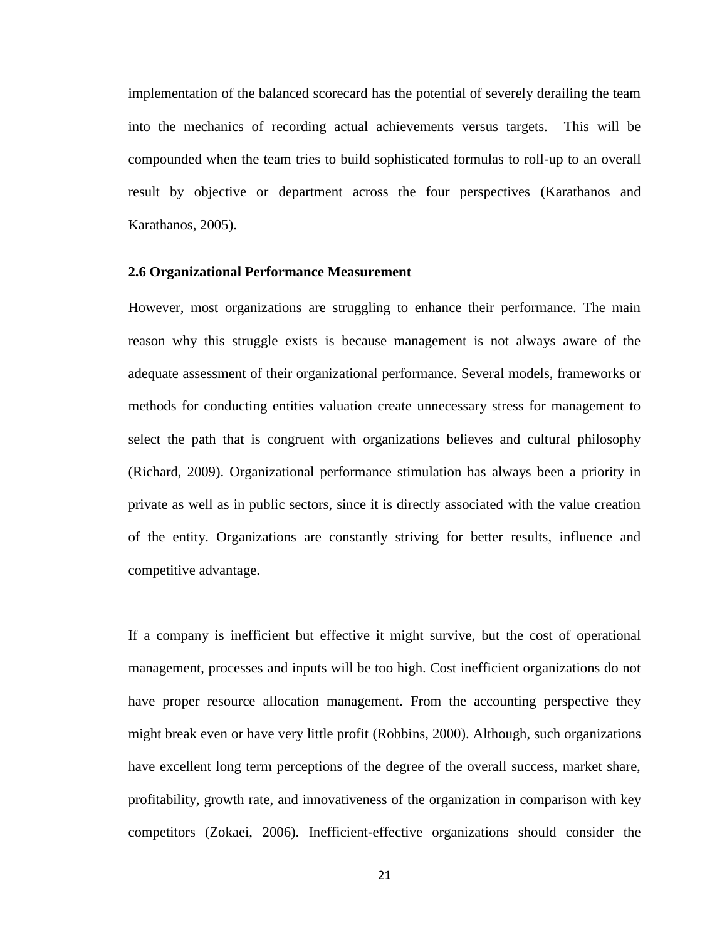implementation of the balanced scorecard has the potential of severely derailing the team into the mechanics of recording actual achievements versus targets. This will be compounded when the team tries to build sophisticated formulas to roll-up to an overall result by objective or department across the four perspectives (Karathanos and Karathanos, 2005).

#### <span id="page-29-0"></span>**2.6 Organizational Performance Measurement**

However, most organizations are struggling to enhance their performance. The main reason why this struggle exists is because management is not always aware of the adequate assessment of their organizational performance. Several models, frameworks or methods for conducting entities valuation create unnecessary stress for management to select the path that is congruent with organizations believes and cultural philosophy (Richard, 2009). Organizational performance stimulation has always been a priority in private as well as in public sectors, since it is directly associated with the value creation of the entity. Organizations are constantly striving for better results, influence and competitive advantage.

If a company is inefficient but effective it might survive, but the cost of operational management, processes and inputs will be too high. Cost inefficient organizations do not have proper resource allocation management. From the accounting perspective they might break even or have very little profit (Robbins, 2000). Although, such organizations have excellent long term perceptions of the degree of the overall success, market share, profitability, growth rate, and innovativeness of the organization in comparison with key competitors (Zokaei, 2006). Inefficient-effective organizations should consider the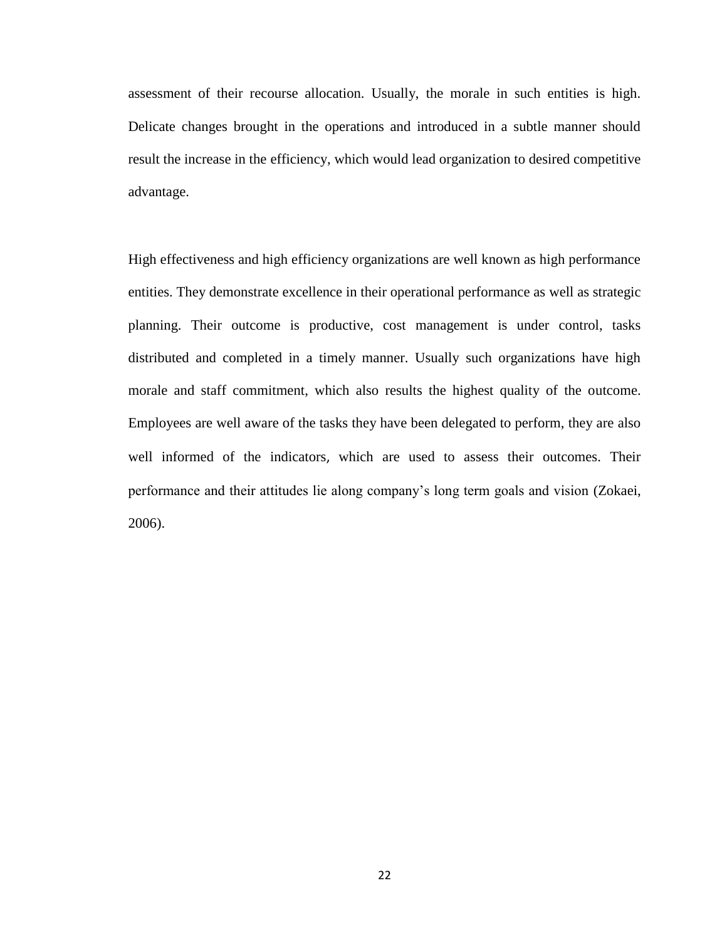assessment of their recourse allocation. Usually, the morale in such entities is high. Delicate changes brought in the operations and introduced in a subtle manner should result the increase in the efficiency, which would lead organization to desired competitive advantage.

High effectiveness and high efficiency organizations are well known as high performance entities. They demonstrate excellence in their operational performance as well as strategic planning. Their outcome is productive, cost management is under control, tasks distributed and completed in a timely manner. Usually such organizations have high morale and staff commitment, which also results the highest quality of the outcome. Employees are well aware of the tasks they have been delegated to perform, they are also well informed of the indicators, which are used to assess their outcomes. Their performance and their attitudes lie along company's long term goals and vision (Zokaei, 2006).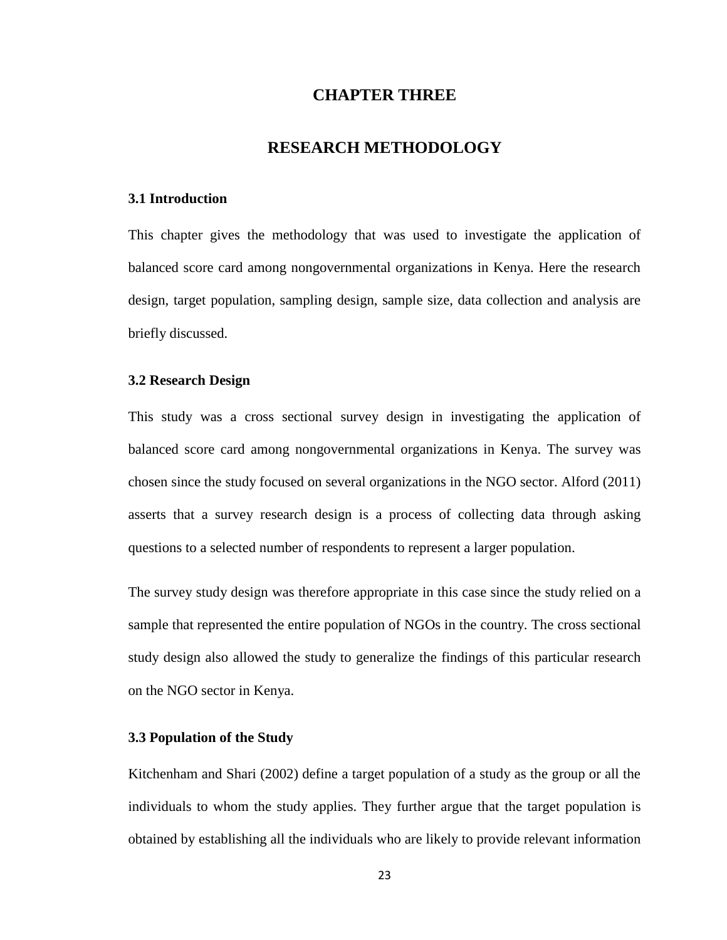## **CHAPTER THREE**

### **RESEARCH METHODOLOGY**

#### <span id="page-31-1"></span><span id="page-31-0"></span>**3.1 Introduction**

This chapter gives the methodology that was used to investigate the application of balanced score card among nongovernmental organizations in Kenya. Here the research design, target population, sampling design, sample size, data collection and analysis are briefly discussed.

#### <span id="page-31-2"></span>**3.2 Research Design**

This study was a cross sectional survey design in investigating the application of balanced score card among nongovernmental organizations in Kenya. The survey was chosen since the study focused on several organizations in the NGO sector. Alford (2011) asserts that a survey research design is a process of collecting data through asking questions to a selected number of respondents to represent a larger population.

The survey study design was therefore appropriate in this case since the study relied on a sample that represented the entire population of NGOs in the country. The cross sectional study design also allowed the study to generalize the findings of this particular research on the NGO sector in Kenya.

#### <span id="page-31-3"></span>**3.3 Population of the Study**

Kitchenham and Shari (2002) define a target population of a study as the group or all the individuals to whom the study applies. They further argue that the target population is obtained by establishing all the individuals who are likely to provide relevant information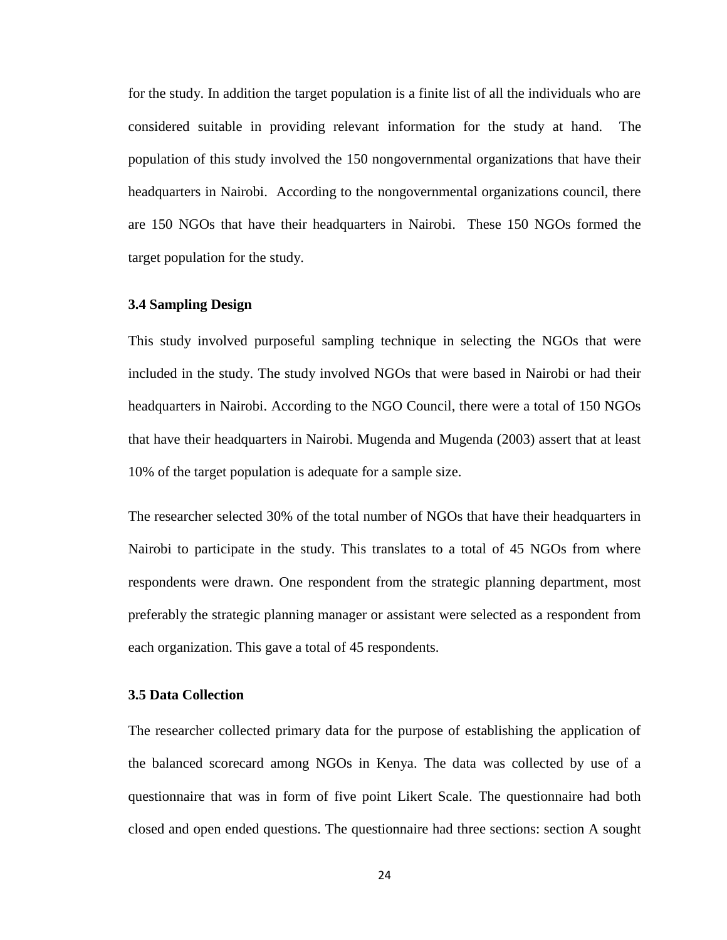for the study. In addition the target population is a finite list of all the individuals who are considered suitable in providing relevant information for the study at hand. The population of this study involved the 150 nongovernmental organizations that have their headquarters in Nairobi. According to the nongovernmental organizations council, there are 150 NGOs that have their headquarters in Nairobi. These 150 NGOs formed the target population for the study.

#### <span id="page-32-0"></span>**3.4 Sampling Design**

This study involved purposeful sampling technique in selecting the NGOs that were included in the study. The study involved NGOs that were based in Nairobi or had their headquarters in Nairobi. According to the NGO Council, there were a total of 150 NGOs that have their headquarters in Nairobi. Mugenda and Mugenda (2003) assert that at least 10% of the target population is adequate for a sample size.

The researcher selected 30% of the total number of NGOs that have their headquarters in Nairobi to participate in the study. This translates to a total of 45 NGOs from where respondents were drawn. One respondent from the strategic planning department, most preferably the strategic planning manager or assistant were selected as a respondent from each organization. This gave a total of 45 respondents.

#### <span id="page-32-1"></span>**3.5 Data Collection**

The researcher collected primary data for the purpose of establishing the application of the balanced scorecard among NGOs in Kenya. The data was collected by use of a questionnaire that was in form of five point Likert Scale. The questionnaire had both closed and open ended questions. The questionnaire had three sections: section A sought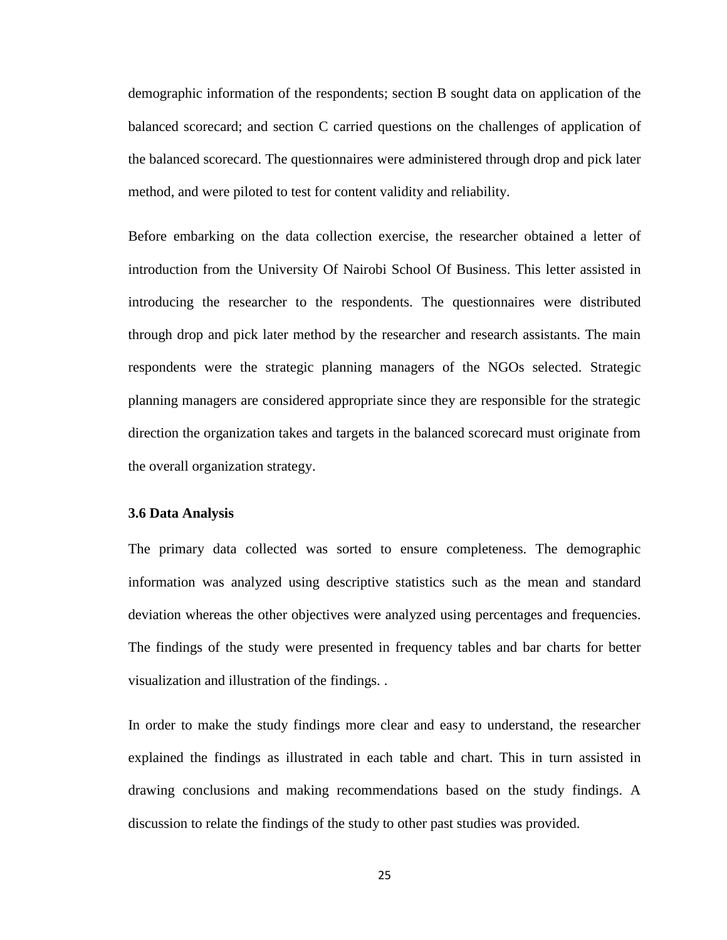demographic information of the respondents; section B sought data on application of the balanced scorecard; and section C carried questions on the challenges of application of the balanced scorecard. The questionnaires were administered through drop and pick later method, and were piloted to test for content validity and reliability.

Before embarking on the data collection exercise, the researcher obtained a letter of introduction from the University Of Nairobi School Of Business. This letter assisted in introducing the researcher to the respondents. The questionnaires were distributed through drop and pick later method by the researcher and research assistants. The main respondents were the strategic planning managers of the NGOs selected. Strategic planning managers are considered appropriate since they are responsible for the strategic direction the organization takes and targets in the balanced scorecard must originate from the overall organization strategy.

#### <span id="page-33-0"></span>**3.6 Data Analysis**

The primary data collected was sorted to ensure completeness. The demographic information was analyzed using descriptive statistics such as the mean and standard deviation whereas the other objectives were analyzed using percentages and frequencies. The findings of the study were presented in frequency tables and bar charts for better visualization and illustration of the findings. .

In order to make the study findings more clear and easy to understand, the researcher explained the findings as illustrated in each table and chart. This in turn assisted in drawing conclusions and making recommendations based on the study findings. A discussion to relate the findings of the study to other past studies was provided.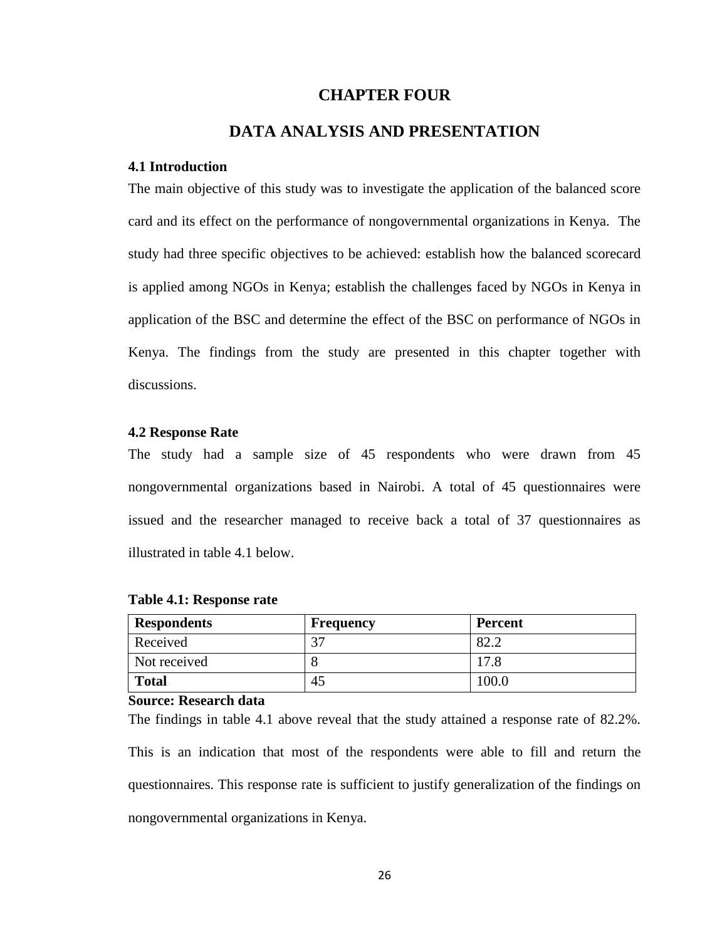### **CHAPTER FOUR**

# **DATA ANALYSIS AND PRESENTATION**

#### <span id="page-34-1"></span><span id="page-34-0"></span>**4.1 Introduction**

The main objective of this study was to investigate the application of the balanced score card and its effect on the performance of nongovernmental organizations in Kenya. The study had three specific objectives to be achieved: establish how the balanced scorecard is applied among NGOs in Kenya; establish the challenges faced by NGOs in Kenya in application of the BSC and determine the effect of the BSC on performance of NGOs in Kenya. The findings from the study are presented in this chapter together with discussions.

#### <span id="page-34-2"></span>**4.2 Response Rate**

The study had a sample size of 45 respondents who were drawn from 45 nongovernmental organizations based in Nairobi. A total of 45 questionnaires were issued and the researcher managed to receive back a total of 37 questionnaires as illustrated in table 4.1 below.

| <b>Respondents</b> | <b>Frequency</b> | <b>Percent</b> |
|--------------------|------------------|----------------|
| Received           |                  | Q 2            |
| Not received       |                  | 17.8           |
| <b>Total</b>       | 43               | 100.0          |

#### <span id="page-34-3"></span>**Table 4.1: Response rate**

#### **Source: Research data**

The findings in table 4.1 above reveal that the study attained a response rate of 82.2%. This is an indication that most of the respondents were able to fill and return the questionnaires. This response rate is sufficient to justify generalization of the findings on nongovernmental organizations in Kenya.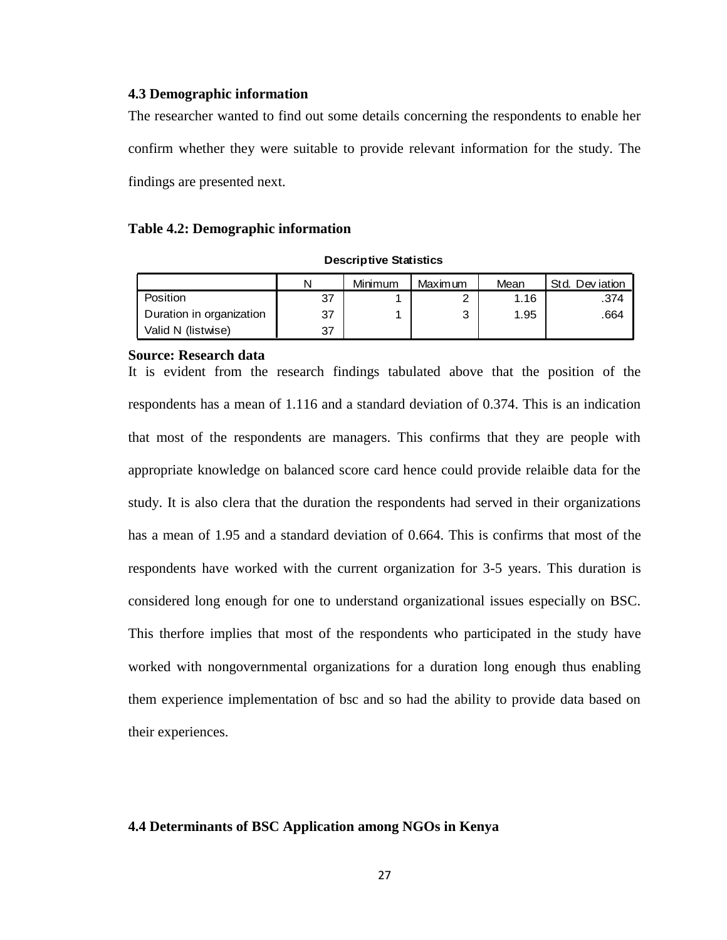#### <span id="page-35-0"></span>**4.3 Demographic information**

The researcher wanted to find out some details concerning the respondents to enable her confirm whether they were suitable to provide relevant information for the study. The findings are presented next.

#### <span id="page-35-2"></span>**Table 4.2: Demographic information**

| <b>Descriptive Statistics</b> |  |  |  |
|-------------------------------|--|--|--|
|-------------------------------|--|--|--|

| <b>Descriptive Statistics</b> |    |         |                |      |                |
|-------------------------------|----|---------|----------------|------|----------------|
|                               | N  | Minimum | <b>Maximum</b> | Mean | Std. Deviation |
| Position                      | 37 |         | 2              | 1.16 | .374           |
| Duration in organization      | 37 |         | 3              | 1.95 | .664           |
| Valid N (listwise)            | 37 |         |                |      |                |

#### **Source: Research data**

It is evident from the research findings tabulated above that the position of the respondents has a mean of 1.116 and a standard deviation of 0.374. This is an indication that most of the respondents are managers. This confirms that they are people with appropriate knowledge on balanced score card hence could provide relaible data for the study. It is also clera that the duration the respondents had served in their organizations has a mean of 1.95 and a standard deviation of 0.664. This is confirms that most of the respondents have worked with the current organization for 3-5 years. This duration is considered long enough for one to understand organizational issues especially on BSC. This therfore implies that most of the respondents who participated in the study have worked with nongovernmental organizations for a duration long enough thus enabling them experience implementation of bsc and so had the ability to provide data based on their experiences.

#### <span id="page-35-1"></span>**4.4 Determinants of BSC Application among NGOs in Kenya**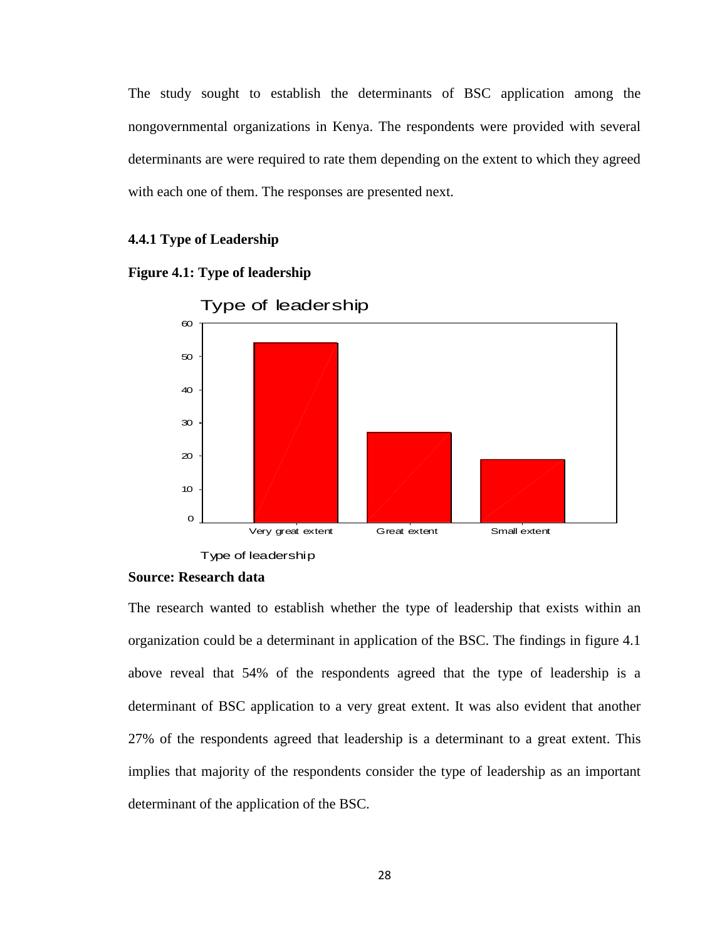The study sought to establish the determinants of BSC application among the nongovernmental organizations in Kenya. The respondents were provided with several determinants are were required to rate them depending on the extent to which they agreed with each one of them. The responses are presented next.

#### **4.4.1 Type of Leadership**

<span id="page-36-0"></span>



Type of leadership

Type of leadership

#### **Source: Research data**

The research wanted to establish whether the type of leadership that exists within an organization could be a determinant in application of the BSC. The findings in figure 4.1 above reveal that 54% of the respondents agreed that the type of leadership is a determinant of BSC application to a very great extent. It was also evident that another 27% of the respondents agreed that leadership is a determinant to a great extent. This implies that majority of the respondents consider the type of leadership as an important determinant of the application of the BSC.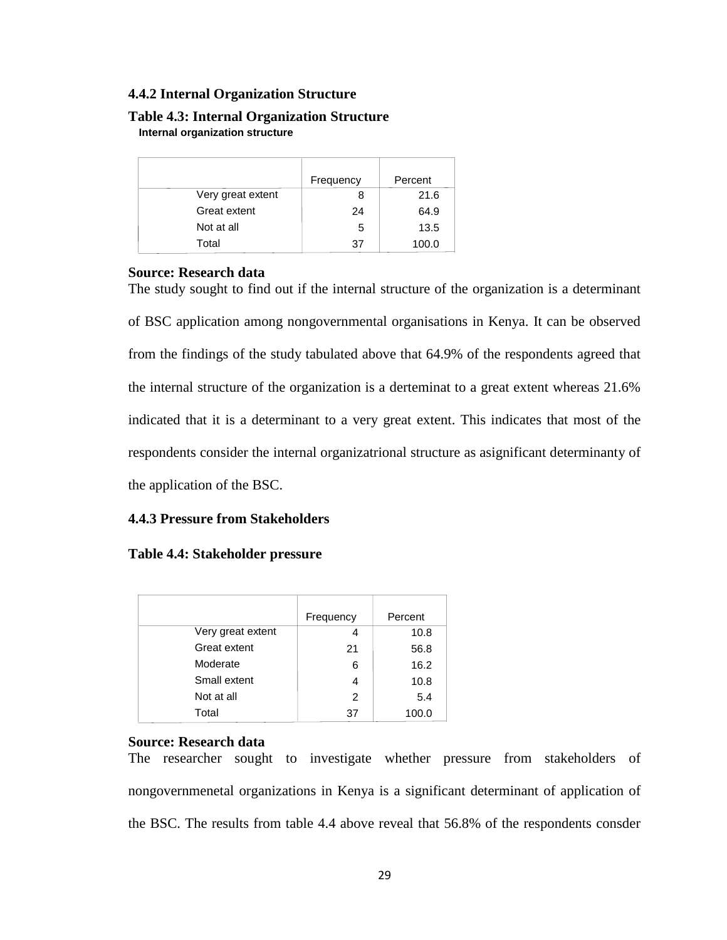## **4.4.2 Internal Organization Structure**

#### <span id="page-37-0"></span>**Table 4.3: Internal Organization Structure Internal organization structure**

|                   | Frequency | Percent |
|-------------------|-----------|---------|
| Very great extent | 8         | 21.6    |
| Great extent      | 24        | 64.9    |
| Not at all        | 5         | 13.5    |
| Total             | 37        | 100.0   |

#### **Source: Research data**

The study sought to find out if the internal structure of the organization is a determinant of BSC application among nongovernmental organisations in Kenya. It can be observed from the findings of the study tabulated above that 64.9% of the respondents agreed that the internal structure of the organization is a derteminat to a great extent whereas 21.6% indicated that it is a determinant to a very great extent. This indicates that most of the respondents consider the internal organizatrional structure as asignificant determinanty of the application of the BSC.

## **4.4.3 Pressure from Stakeholders**

### <span id="page-37-1"></span>**Table 4.4: Stakeholder pressure**

|                   | Frequency | Percent |
|-------------------|-----------|---------|
| Very great extent |           | 10.8    |
| Great extent      | 21        | 56.8    |
| Moderate          | 6         | 16.2    |
| Small extent      | 4         | 10.8    |
| Not at all        | 2         | 5.4     |
| Total             | 37        | 100.0   |

### **Source: Research data**

The researcher sought to investigate whether pressure from stakeholders of nongovernmenetal organizations in Kenya is a significant determinant of application of the BSC. The results from table 4.4 above reveal that 56.8% of the respondents consder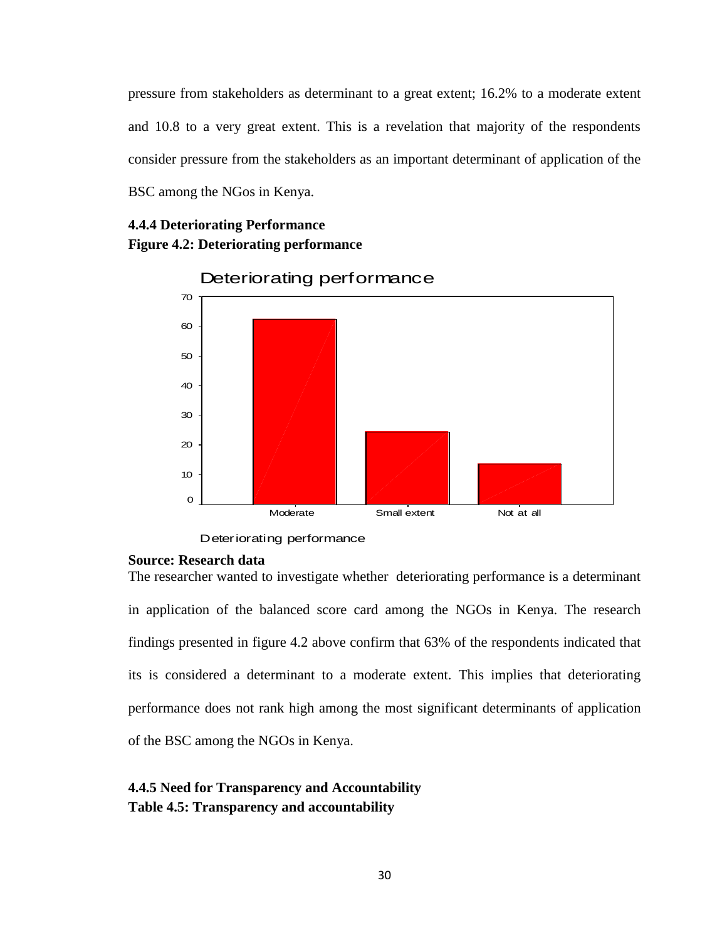pressure from stakeholders as determinant to a great extent; 16.2% to a moderate extent and 10.8 to a very great extent. This is a revelation that majority of the respondents consider pressure from the stakeholders as an important determinant of application of the BSC among the NGos in Kenya.

# <span id="page-38-1"></span>**4.4.4 Deteriorating Performance Figure 4.2: Deteriorating performance**



Deteriorating performance

Deteriorating performance

## **Source: Research data**

The researcher wanted to investigate whether deteriorating performance is a determinant in application of the balanced score card among the NGOs in Kenya. The research findings presented in figure 4.2 above confirm that 63% of the respondents indicated that its is considered a determinant to a moderate extent. This implies that deteriorating performance does not rank high among the most significant determinants of application of the BSC among the NGOs in Kenya.

# <span id="page-38-0"></span>**4.4.5 Need for Transparency and Accountability Table 4.5: Transparency and accountability**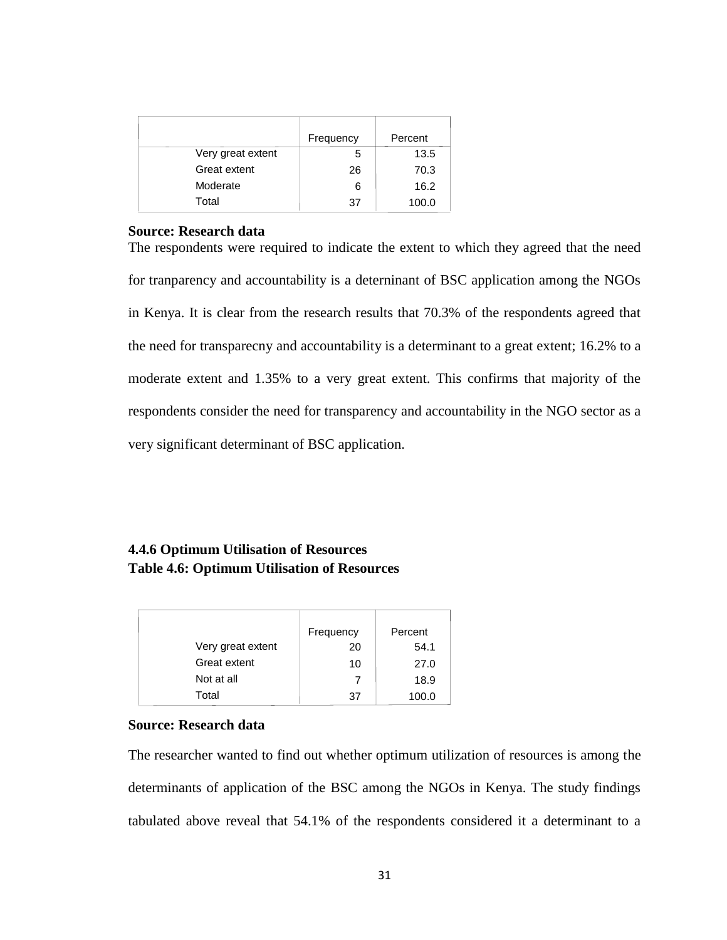|                   | Frequency | Percent |
|-------------------|-----------|---------|
| Very great extent | 5         | 13.5    |
| Great extent      | 26        | 70.3    |
| Moderate          | 6         | 16.2    |
| Total             | 37        | 100.0   |

#### **Source: Research data**

The respondents were required to indicate the extent to which they agreed that the need for tranparency and accountability is a deterninant of BSC application among the NGOs in Kenya. It is clear from the research results that 70.3% of the respondents agreed that the need for transparecny and accountability is a determinant to a great extent; 16.2% to a moderate extent and 1.35% to a very great extent. This confirms that majority of the respondents consider the need for transparency and accountability in the NGO sector as a very significant determinant of BSC application.

# <span id="page-39-0"></span>**4.4.6 Optimum Utilisation of Resources Table 4.6: Optimum Utilisation of Resources**

|                   | Frequency | Percent |
|-------------------|-----------|---------|
| Very great extent | 20        | 54.1    |
| Great extent      | 10        | 27.0    |
| Not at all        |           | 18.9    |
| Total             | 37        | 100.0   |

## **Source: Research data**

The researcher wanted to find out whether optimum utilization of resources is among the determinants of application of the BSC among the NGOs in Kenya. The study findings tabulated above reveal that 54.1% of the respondents considered it a determinant to a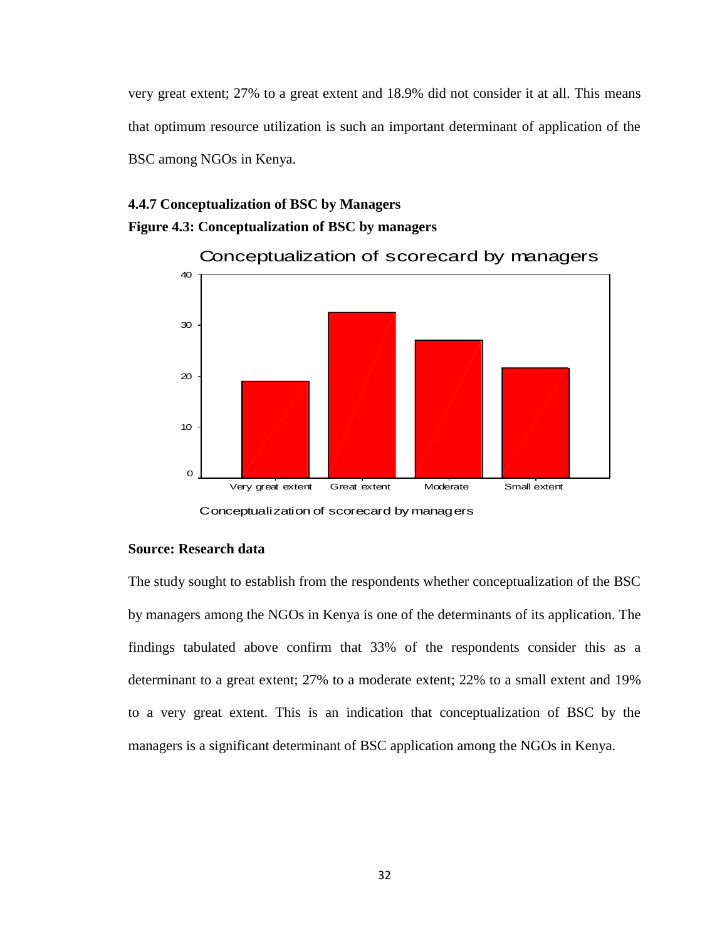very great extent; 27% to a great extent and 18.9% did not consider it at all. This means that optimum resource utilization is such an important determinant of application of the BSC among NGOs in Kenya.

# <span id="page-40-0"></span>**4.4.7 Conceptualization of BSC by Managers Figure 4.3: Conceptualization of BSC by managers**



Conceptualization of scorecard by managers

## **Source: Research data**

The study sought to establish from the respondents whether conceptualization of the BSC by managers among the NGOs in Kenya is one of the determinants of its application. The findings tabulated above confirm that 33% of the respondents consider this as a determinant to a great extent; 27% to a moderate extent; 22% to a small extent and 19% to a very great extent. This is an indication that conceptualization of BSC by the managers is a significant determinant of BSC application among the NGOs in Kenya.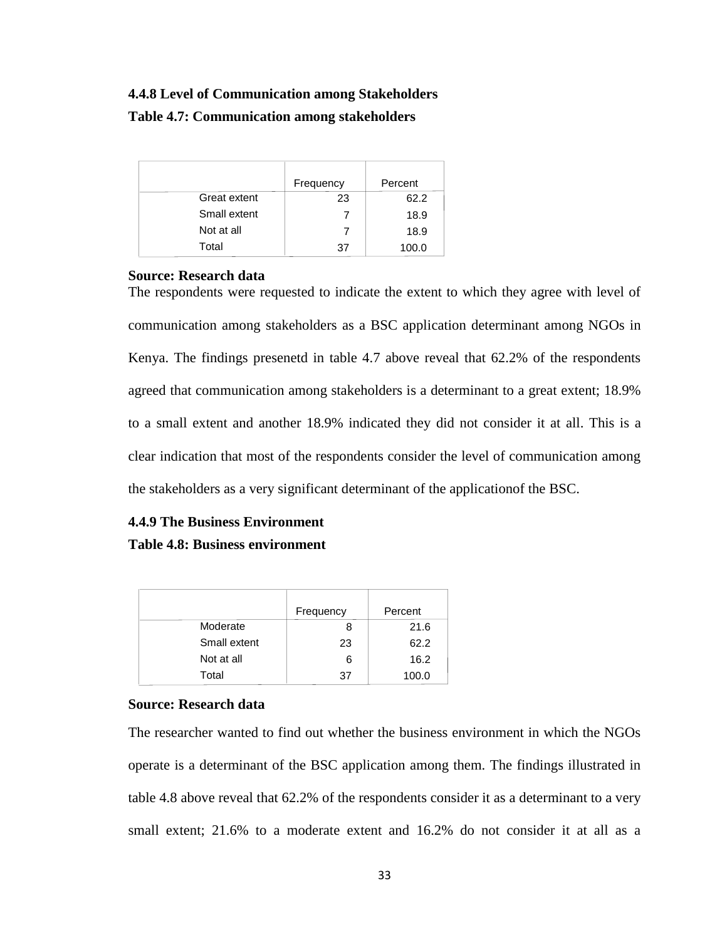# **4.4.8 Level of Communication among Stakeholders**

# <span id="page-41-0"></span>**Table 4.7: Communication among stakeholders**

|              | Frequency | Percent |
|--------------|-----------|---------|
| Great extent | 23        | 62.2    |
| Small extent |           | 18.9    |
| Not at all   |           | 18.9    |
| Total        | 37        | 100.0   |

### **Source: Research data**

The respondents were requested to indicate the extent to which they agree with level of communication among stakeholders as a BSC application determinant among NGOs in Kenya. The findings presenetd in table 4.7 above reveal that 62.2% of the respondents agreed that communication among stakeholders is a determinant to a great extent; 18.9% to a small extent and another 18.9% indicated they did not consider it at all. This is a clear indication that most of the respondents consider the level of communication among the stakeholders as a very significant determinant of the applicationof the BSC.

# <span id="page-41-1"></span>**4.4.9 The Business Environment Table 4.8: Business environment**

|              | Frequency | Percent |
|--------------|-----------|---------|
| Moderate     |           | 21.6    |
| Small extent | 23        | 62.2    |
| Not at all   | 6         | 16.2    |
| Total        | 37        | 100.0   |

## **Source: Research data**

The researcher wanted to find out whether the business environment in which the NGOs operate is a determinant of the BSC application among them. The findings illustrated in table 4.8 above reveal that 62.2% of the respondents consider it as a determinant to a very small extent; 21.6% to a moderate extent and 16.2% do not consider it at all as a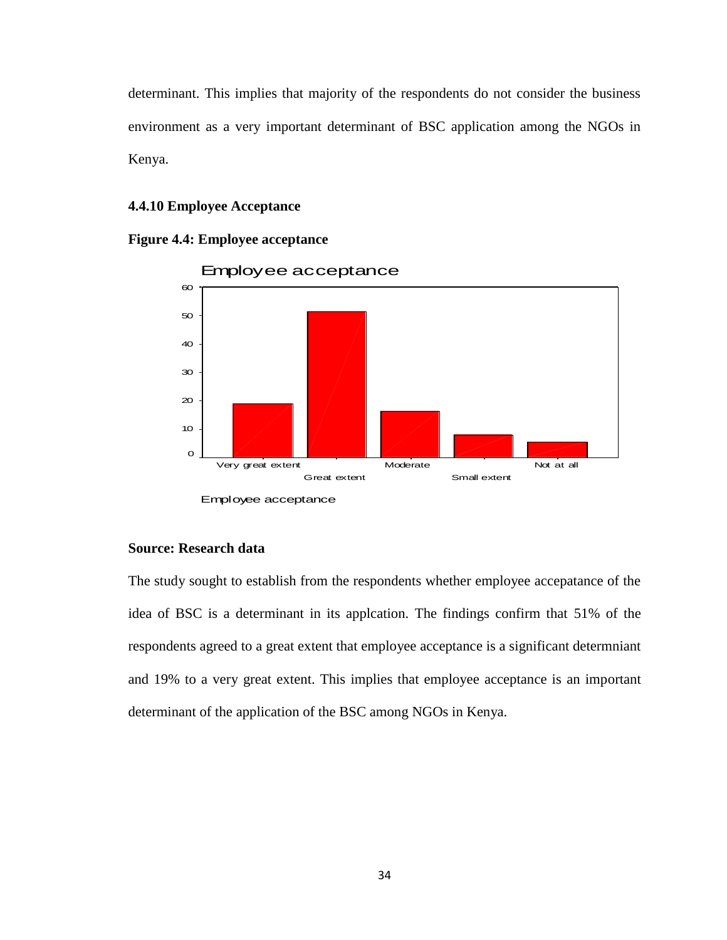determinant. This implies that majority of the respondents do not consider the business environment as a very important determinant of BSC application among the NGOs in Kenya.

#### **4.4.10 Employee Acceptance**





## **Source: Research data**

The study sought to establish from the respondents whether employee accepatance of the idea of BSC is a determinant in its applcation. The findings confirm that 51% of the respondents agreed to a great extent that employee acceptance is a significant determniant and 19% to a very great extent. This implies that employee acceptance is an important determinant of the application of the BSC among NGOs in Kenya.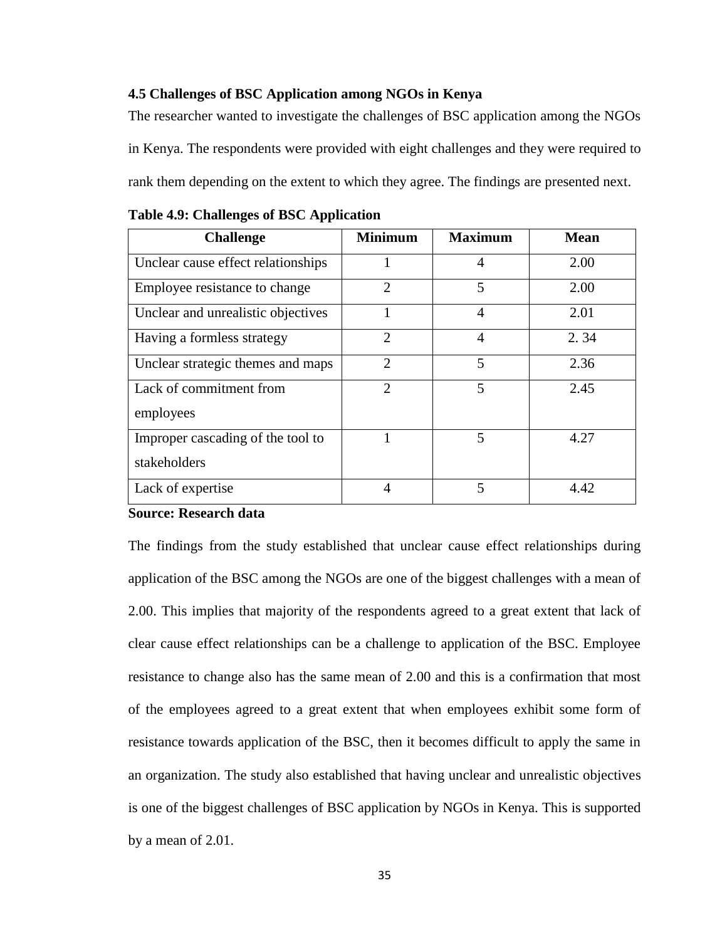#### <span id="page-43-0"></span>**4.5 Challenges of BSC Application among NGOs in Kenya**

The researcher wanted to investigate the challenges of BSC application among the NGOs in Kenya. The respondents were provided with eight challenges and they were required to rank them depending on the extent to which they agree. The findings are presented next.

| <b>Challenge</b>                                  | <b>Minimum</b> | <b>Maximum</b> | <b>Mean</b> |
|---------------------------------------------------|----------------|----------------|-------------|
| Unclear cause effect relationships                |                | 4              | 2.00        |
| Employee resistance to change                     | $\overline{2}$ | 5              | 2.00        |
| Unclear and unrealistic objectives                |                | 4              | 2.01        |
| Having a formless strategy                        | $\overline{2}$ | 4              | 2.34        |
| Unclear strategic themes and maps                 | $\overline{2}$ | 5              | 2.36        |
| Lack of commitment from<br>employees              | $\mathfrak{D}$ | 5              | 2.45        |
| Improper cascading of the tool to<br>stakeholders |                | 5              | 4.27        |
| Lack of expertise                                 | 4              | 5              | 4.42        |

<span id="page-43-1"></span>**Table 4.9: Challenges of BSC Application**

#### **Source: Research data**

The findings from the study established that unclear cause effect relationships during application of the BSC among the NGOs are one of the biggest challenges with a mean of 2.00. This implies that majority of the respondents agreed to a great extent that lack of clear cause effect relationships can be a challenge to application of the BSC. Employee resistance to change also has the same mean of 2.00 and this is a confirmation that most of the employees agreed to a great extent that when employees exhibit some form of resistance towards application of the BSC, then it becomes difficult to apply the same in an organization. The study also established that having unclear and unrealistic objectives is one of the biggest challenges of BSC application by NGOs in Kenya. This is supported by a mean of 2.01.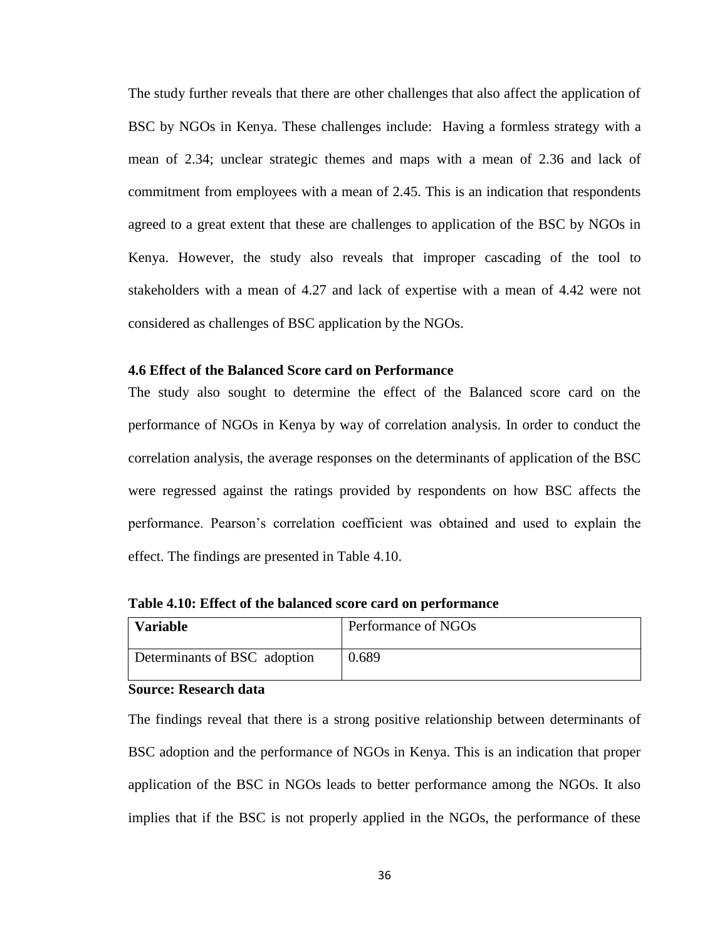The study further reveals that there are other challenges that also affect the application of BSC by NGOs in Kenya. These challenges include: Having a formless strategy with a mean of 2.34; unclear strategic themes and maps with a mean of 2.36 and lack of commitment from employees with a mean of 2.45. This is an indication that respondents agreed to a great extent that these are challenges to application of the BSC by NGOs in Kenya. However, the study also reveals that improper cascading of the tool to stakeholders with a mean of 4.27 and lack of expertise with a mean of 4.42 were not considered as challenges of BSC application by the NGOs.

### <span id="page-44-0"></span>**4.6 Effect of the Balanced Score card on Performance**

The study also sought to determine the effect of the Balanced score card on the performance of NGOs in Kenya by way of correlation analysis. In order to conduct the correlation analysis, the average responses on the determinants of application of the BSC were regressed against the ratings provided by respondents on how BSC affects the performance. Pearson's correlation coefficient was obtained and used to explain the effect. The findings are presented in Table 4.10.

| <b>Variable</b>              | Performance of NGOs |
|------------------------------|---------------------|
| Determinants of BSC adoption | 0.689               |

<span id="page-44-1"></span>**Table 4.10: Effect of the balanced score card on performance**

#### **Source: Research data**

The findings reveal that there is a strong positive relationship between determinants of BSC adoption and the performance of NGOs in Kenya. This is an indication that proper application of the BSC in NGOs leads to better performance among the NGOs. It also implies that if the BSC is not properly applied in the NGOs, the performance of these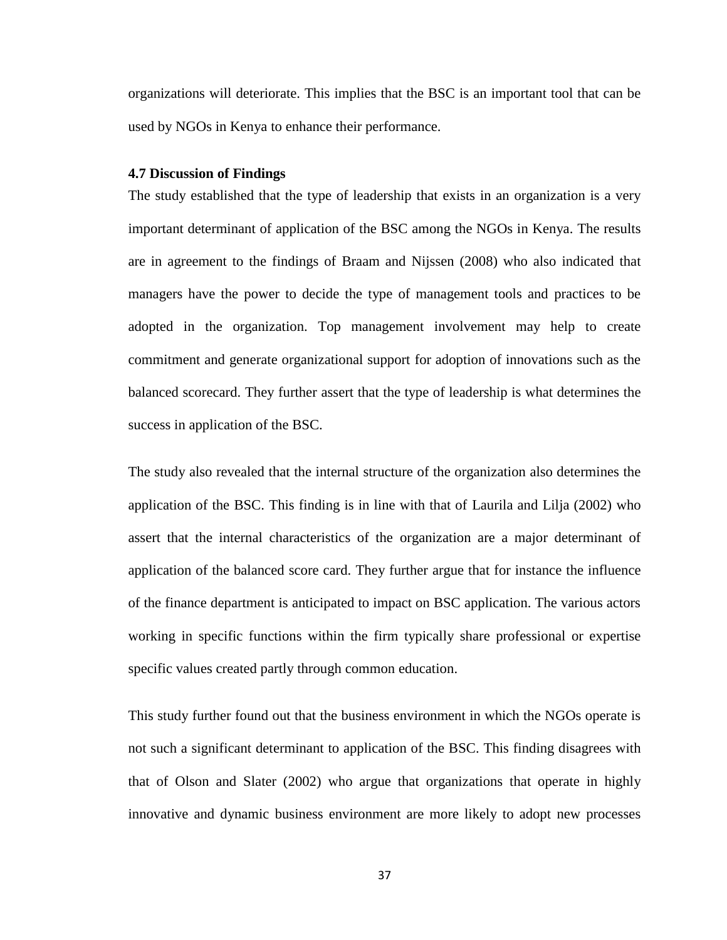organizations will deteriorate. This implies that the BSC is an important tool that can be used by NGOs in Kenya to enhance their performance.

#### <span id="page-45-0"></span>**4.7 Discussion of Findings**

The study established that the type of leadership that exists in an organization is a very important determinant of application of the BSC among the NGOs in Kenya. The results are in agreement to the findings of Braam and Nijssen (2008) who also indicated that managers have the power to decide the type of management tools and practices to be adopted in the organization. Top management involvement may help to create commitment and generate organizational support for adoption of innovations such as the balanced scorecard. They further assert that the type of leadership is what determines the success in application of the BSC.

The study also revealed that the internal structure of the organization also determines the application of the BSC. This finding is in line with that of Laurila and Lilja (2002) who assert that the internal characteristics of the organization are a major determinant of application of the balanced score card. They further argue that for instance the influence of the finance department is anticipated to impact on BSC application. The various actors working in specific functions within the firm typically share professional or expertise specific values created partly through common education.

This study further found out that the business environment in which the NGOs operate is not such a significant determinant to application of the BSC. This finding disagrees with that of Olson and Slater (2002) who argue that organizations that operate in highly innovative and dynamic business environment are more likely to adopt new processes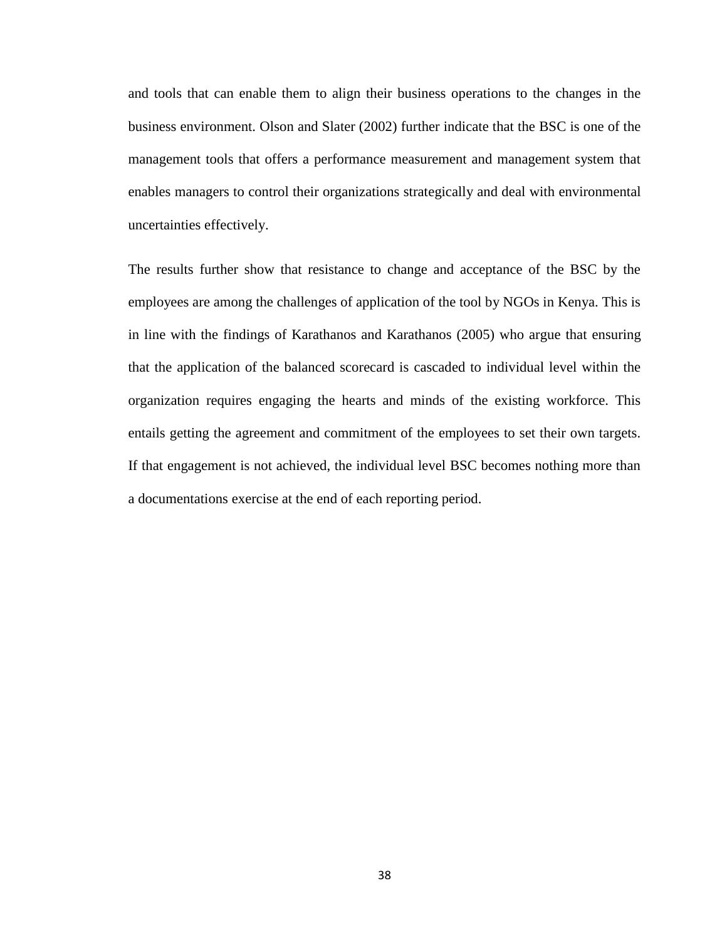and tools that can enable them to align their business operations to the changes in the business environment. Olson and Slater (2002) further indicate that the BSC is one of the management tools that offers a performance measurement and management system that enables managers to control their organizations strategically and deal with environmental uncertainties effectively.

The results further show that resistance to change and acceptance of the BSC by the employees are among the challenges of application of the tool by NGOs in Kenya. This is in line with the findings of Karathanos and Karathanos (2005) who argue that ensuring that the application of the balanced scorecard is cascaded to individual level within the organization requires engaging the hearts and minds of the existing workforce. This entails getting the agreement and commitment of the employees to set their own targets. If that engagement is not achieved, the individual level BSC becomes nothing more than a documentations exercise at the end of each reporting period.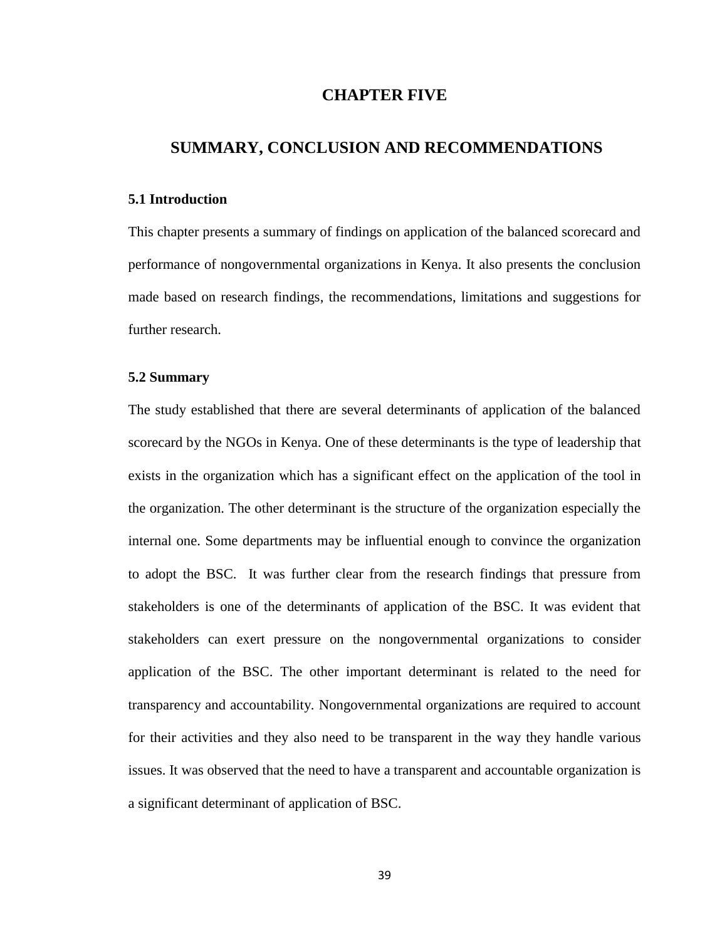# **CHAPTER FIVE**

## <span id="page-47-0"></span>**SUMMARY, CONCLUSION AND RECOMMENDATIONS**

#### <span id="page-47-1"></span>**5.1 Introduction**

This chapter presents a summary of findings on application of the balanced scorecard and performance of nongovernmental organizations in Kenya. It also presents the conclusion made based on research findings, the recommendations, limitations and suggestions for further research.

#### <span id="page-47-2"></span>**5.2 Summary**

The study established that there are several determinants of application of the balanced scorecard by the NGOs in Kenya. One of these determinants is the type of leadership that exists in the organization which has a significant effect on the application of the tool in the organization. The other determinant is the structure of the organization especially the internal one. Some departments may be influential enough to convince the organization to adopt the BSC. It was further clear from the research findings that pressure from stakeholders is one of the determinants of application of the BSC. It was evident that stakeholders can exert pressure on the nongovernmental organizations to consider application of the BSC. The other important determinant is related to the need for transparency and accountability. Nongovernmental organizations are required to account for their activities and they also need to be transparent in the way they handle various issues. It was observed that the need to have a transparent and accountable organization is a significant determinant of application of BSC.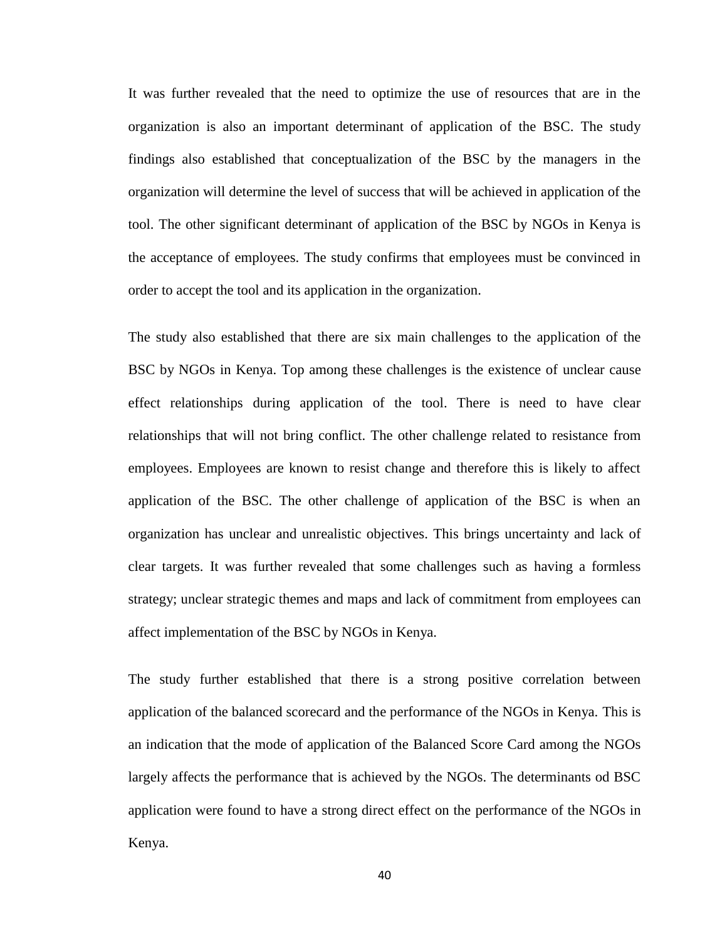It was further revealed that the need to optimize the use of resources that are in the organization is also an important determinant of application of the BSC. The study findings also established that conceptualization of the BSC by the managers in the organization will determine the level of success that will be achieved in application of the tool. The other significant determinant of application of the BSC by NGOs in Kenya is the acceptance of employees. The study confirms that employees must be convinced in order to accept the tool and its application in the organization.

The study also established that there are six main challenges to the application of the BSC by NGOs in Kenya. Top among these challenges is the existence of unclear cause effect relationships during application of the tool. There is need to have clear relationships that will not bring conflict. The other challenge related to resistance from employees. Employees are known to resist change and therefore this is likely to affect application of the BSC. The other challenge of application of the BSC is when an organization has unclear and unrealistic objectives. This brings uncertainty and lack of clear targets. It was further revealed that some challenges such as having a formless strategy; unclear strategic themes and maps and lack of commitment from employees can affect implementation of the BSC by NGOs in Kenya.

The study further established that there is a strong positive correlation between application of the balanced scorecard and the performance of the NGOs in Kenya. This is an indication that the mode of application of the Balanced Score Card among the NGOs largely affects the performance that is achieved by the NGOs. The determinants od BSC application were found to have a strong direct effect on the performance of the NGOs in Kenya.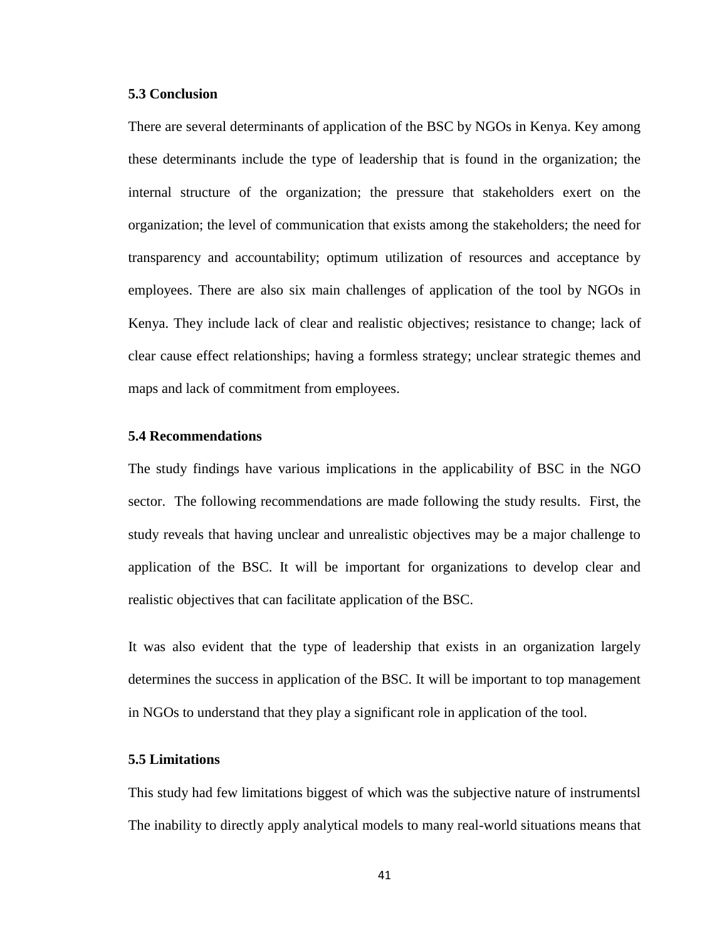#### <span id="page-49-0"></span>**5.3 Conclusion**

There are several determinants of application of the BSC by NGOs in Kenya. Key among these determinants include the type of leadership that is found in the organization; the internal structure of the organization; the pressure that stakeholders exert on the organization; the level of communication that exists among the stakeholders; the need for transparency and accountability; optimum utilization of resources and acceptance by employees. There are also six main challenges of application of the tool by NGOs in Kenya. They include lack of clear and realistic objectives; resistance to change; lack of clear cause effect relationships; having a formless strategy; unclear strategic themes and maps and lack of commitment from employees.

#### <span id="page-49-1"></span>**5.4 Recommendations**

The study findings have various implications in the applicability of BSC in the NGO sector. The following recommendations are made following the study results. First, the study reveals that having unclear and unrealistic objectives may be a major challenge to application of the BSC. It will be important for organizations to develop clear and realistic objectives that can facilitate application of the BSC.

It was also evident that the type of leadership that exists in an organization largely determines the success in application of the BSC. It will be important to top management in NGOs to understand that they play a significant role in application of the tool.

## <span id="page-49-2"></span>**5.5 Limitations**

This study had few limitations biggest of which was the subjective nature of instrumentsl The inability to directly apply analytical models to many real-world situations means that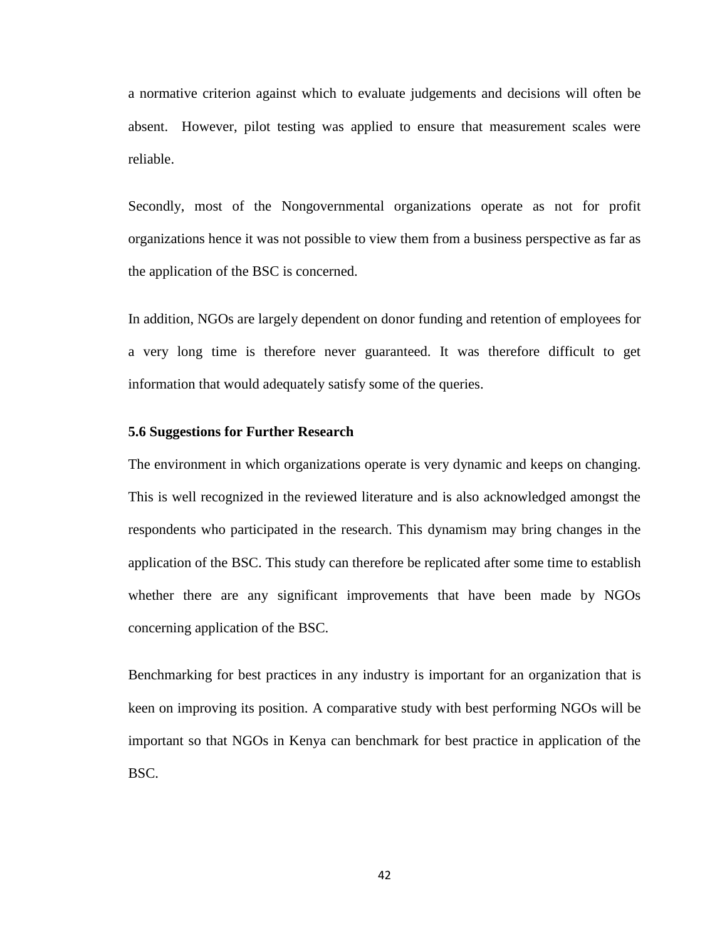a normative criterion against which to evaluate judgements and decisions will often be absent. However, pilot testing was applied to ensure that measurement scales were reliable.

Secondly, most of the Nongovernmental organizations operate as not for profit organizations hence it was not possible to view them from a business perspective as far as the application of the BSC is concerned.

In addition, NGOs are largely dependent on donor funding and retention of employees for a very long time is therefore never guaranteed. It was therefore difficult to get information that would adequately satisfy some of the queries.

#### <span id="page-50-0"></span>**5.6 Suggestions for Further Research**

The environment in which organizations operate is very dynamic and keeps on changing. This is well recognized in the reviewed literature and is also acknowledged amongst the respondents who participated in the research. This dynamism may bring changes in the application of the BSC. This study can therefore be replicated after some time to establish whether there are any significant improvements that have been made by NGOs concerning application of the BSC.

Benchmarking for best practices in any industry is important for an organization that is keen on improving its position. A comparative study with best performing NGOs will be important so that NGOs in Kenya can benchmark for best practice in application of the BSC.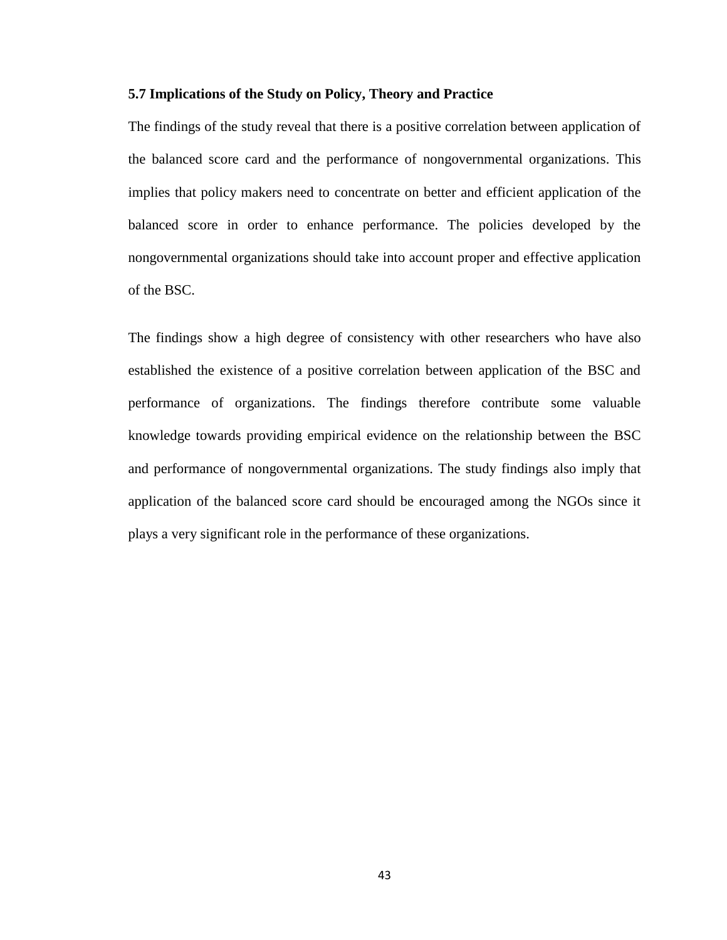#### **5.7 Implications of the Study on Policy, Theory and Practice**

The findings of the study reveal that there is a positive correlation between application of the balanced score card and the performance of nongovernmental organizations. This implies that policy makers need to concentrate on better and efficient application of the balanced score in order to enhance performance. The policies developed by the nongovernmental organizations should take into account proper and effective application of the BSC.

<span id="page-51-0"></span>The findings show a high degree of consistency with other researchers who have also established the existence of a positive correlation between application of the BSC and performance of organizations. The findings therefore contribute some valuable knowledge towards providing empirical evidence on the relationship between the BSC and performance of nongovernmental organizations. The study findings also imply that application of the balanced score card should be encouraged among the NGOs since it plays a very significant role in the performance of these organizations.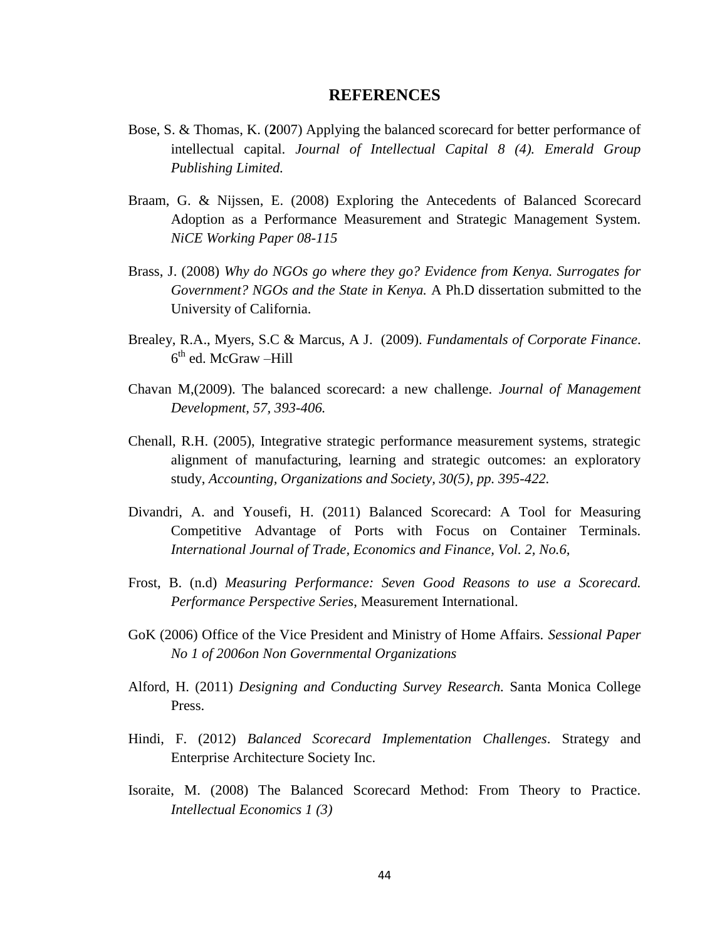#### **REFERENCES**

- Bose, S. & Thomas, K. (**2**007) Applying the balanced scorecard for better performance of intellectual capital. *Journal of Intellectual Capital 8 (4). Emerald Group Publishing Limited.*
- Braam, G. & Nijssen, E. (2008) Exploring the Antecedents of Balanced Scorecard Adoption as a Performance Measurement and Strategic Management System. *NiCE Working Paper 08-115*
- Brass, J. (2008) *Why do NGOs go where they go? Evidence from Kenya. Surrogates for Government? NGOs and the State in Kenya.* A Ph.D dissertation submitted to the University of California.
- Brealey, R.A., Myers, S.C & Marcus, A J. (2009). *Fundamentals of Corporate Finance*. 6<sup>th</sup> ed. McGraw –Hill
- Chavan M,(2009). The balanced scorecard: a new challenge. *Journal of Management Development, 57, 393-406.*
- Chenall, R.H. (2005), Integrative strategic performance measurement systems, strategic alignment of manufacturing, learning and strategic outcomes: an exploratory study, *Accounting, Organizations and Society, 30(5), pp. 395-422.*
- Divandri, A. and Yousefi, H. (2011) Balanced Scorecard: A Tool for Measuring Competitive Advantage of Ports with Focus on Container Terminals. *International Journal of Trade, Economics and Finance, Vol. 2, No.6,*
- Frost, B. (n.d) *Measuring Performance: Seven Good Reasons to use a Scorecard. Performance Perspective Series*, Measurement International.
- GoK (2006) Office of the Vice President and Ministry of Home Affairs. *Sessional Paper No 1 of 2006on Non Governmental Organizations*
- Alford, H. (2011) *Designing and Conducting Survey Research.* Santa Monica College Press.
- Hindi, F. (2012) *Balanced Scorecard Implementation Challenges*. Strategy and Enterprise Architecture Society Inc.
- Isoraite, M. (2008) The Balanced Scorecard Method: From Theory to Practice. *Intellectual Economics 1 (3)*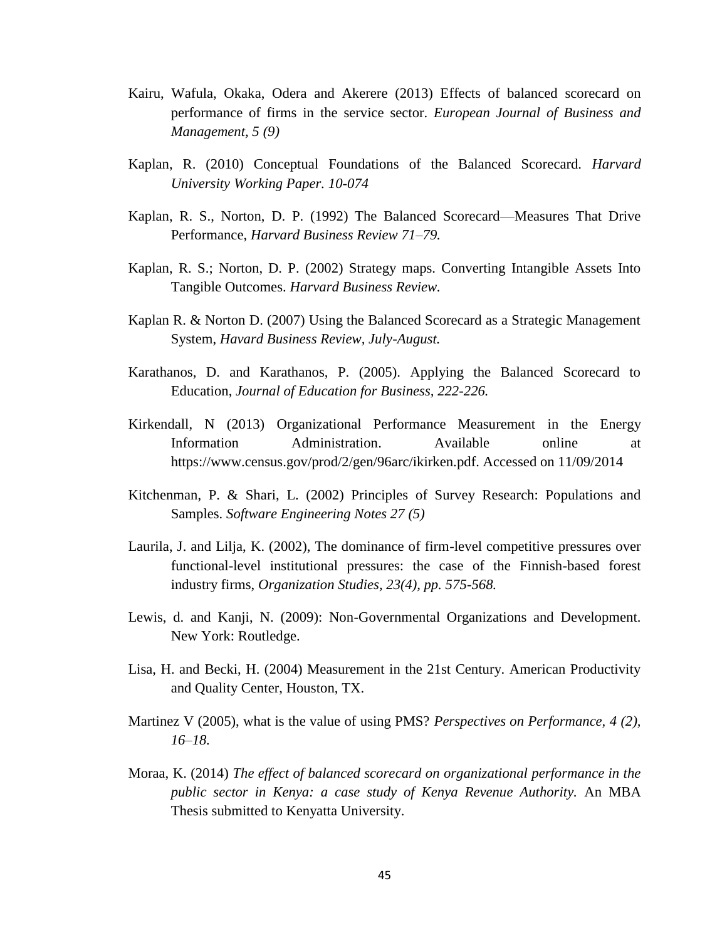- Kairu, Wafula, Okaka, Odera and Akerere (2013) Effects of balanced scorecard on performance of firms in the service sector. *European Journal of Business and Management, 5 (9)*
- Kaplan, R. (2010) Conceptual Foundations of the Balanced Scorecard. *Harvard University Working Paper. 10-074*
- Kaplan, R. S., Norton, D. P. (1992) The Balanced Scorecard—Measures That Drive Performance, *Harvard Business Review 71–79.*
- Kaplan, R. S.; Norton, D. P. (2002) Strategy maps. Converting Intangible Assets Into Tangible Outcomes. *Harvard Business Review.*
- Kaplan R. & Norton D. (2007) Using the Balanced Scorecard as a Strategic Management System, *Havard Business Review, July-August.*
- Karathanos, D. and Karathanos, P. (2005). Applying the Balanced Scorecard to Education, *Journal of Education for Business, 222-226.*
- Kirkendall, N (2013) Organizational Performance Measurement in the Energy Information Administration. Available online at [https://www.census.gov/prod/2/gen/96arc/ikirken.pdf. Accessed on 11/09/2014](https://www.census.gov/prod/2/gen/96arc/ikirken.pdf.%20Accessed%20on%2011/09/2014)
- Kitchenman, P. & Shari, L. (2002) Principles of Survey Research: Populations and Samples. *Software Engineering Notes 27 (5)*
- Laurila, J. and Lilja, K. (2002), The dominance of firm-level competitive pressures over functional-level institutional pressures: the case of the Finnish-based forest industry firms, *Organization Studies, 23(4), pp. 575-568.*
- Lewis, d. and Kanji, N. (2009): Non-Governmental Organizations and Development. New York: Routledge.
- Lisa, H. and Becki, H. (2004) Measurement in the 21st Century. American Productivity and Quality Center, Houston, TX.
- Martinez V (2005), what is the value of using PMS? *Perspectives on Performance, 4 (2), 16–18.*
- Moraa, K. (2014) *The effect of balanced scorecard on organizational performance in the public sector in Kenya: a case study of Kenya Revenue Authority.* An MBA Thesis submitted to Kenyatta University.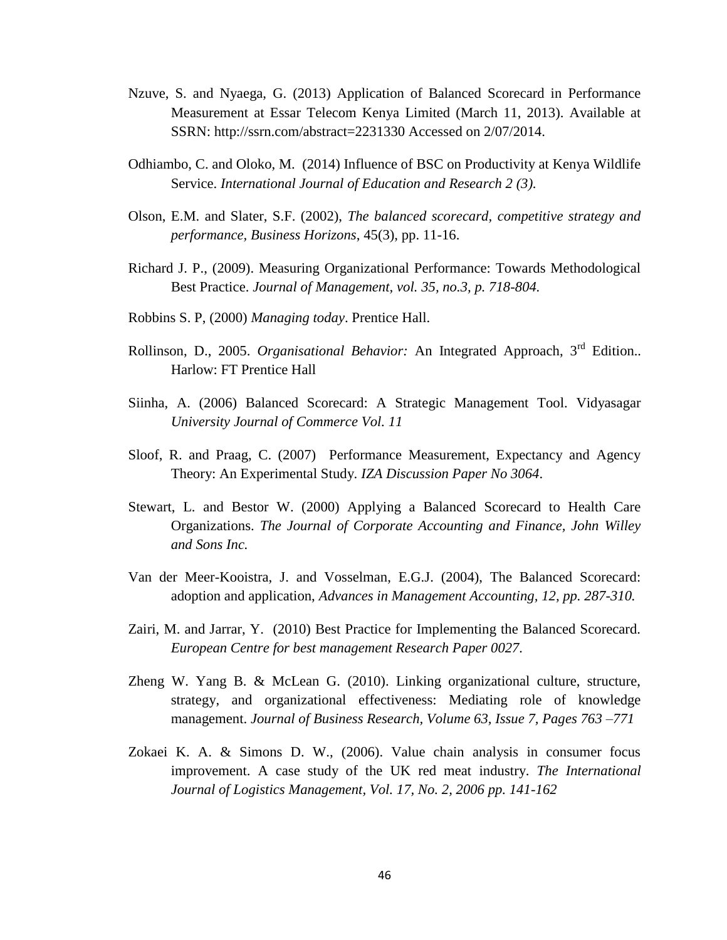- Nzuve, S. and Nyaega, G. (2013) Application of Balanced Scorecard in Performance Measurement at Essar Telecom Kenya Limited (March 11, 2013). Available at SSRN: http://ssrn.com/abstract=2231330 Accessed on 2/07/2014.
- Odhiambo, C. and Oloko, M. (2014) Influence of BSC on Productivity at Kenya Wildlife Service. *International Journal of Education and Research 2 (3).*
- Olson, E.M. and Slater, S.F. (2002), *The balanced scorecard, competitive strategy and performance, Business Horizons*, 45(3), pp. 11-16.
- Richard J. P., (2009). Measuring Organizational Performance: Towards Methodological Best Practice. *Journal of Management, vol. 35, no.3, p. 718-804.*
- Robbins S. P, (2000) *Managing today*. Prentice Hall.
- Rollinson, D., 2005. *Organisational Behavior:* An Integrated Approach, 3rd Edition.. Harlow: FT Prentice Hall
- Siinha, A. (2006) Balanced Scorecard: A Strategic Management Tool. Vidyasagar *University Journal of Commerce Vol. 11*
- Sloof, R. and Praag, C. (2007) Performance Measurement, Expectancy and Agency Theory: An Experimental Study. *IZA Discussion Paper No 3064*.
- Stewart, L. and Bestor W. (2000) Applying a Balanced Scorecard to Health Care Organizations. *The Journal of Corporate Accounting and Finance, John Willey and Sons Inc.*
- Van der Meer-Kooistra, J. and Vosselman, E.G.J. (2004), The Balanced Scorecard: adoption and application, *Advances in Management Accounting, 12, pp. 287-310.*
- Zairi, M. and Jarrar, Y. (2010) Best Practice for Implementing the Balanced Scorecard. *European Centre for best management Research Paper 0027.*
- Zheng W. Yang B. & McLean G. (2010). Linking organizational culture, structure, strategy, and organizational effectiveness: Mediating role of knowledge management. *Journal of Business Research, Volume 63, Issue 7, Pages 763 –771*
- Zokaei K. A. & Simons D. W., (2006). Value chain analysis in consumer focus improvement. A case study of the UK red meat industry. *The International Journal of Logistics Management, Vol. 17, No. 2, 2006 pp. 141-162*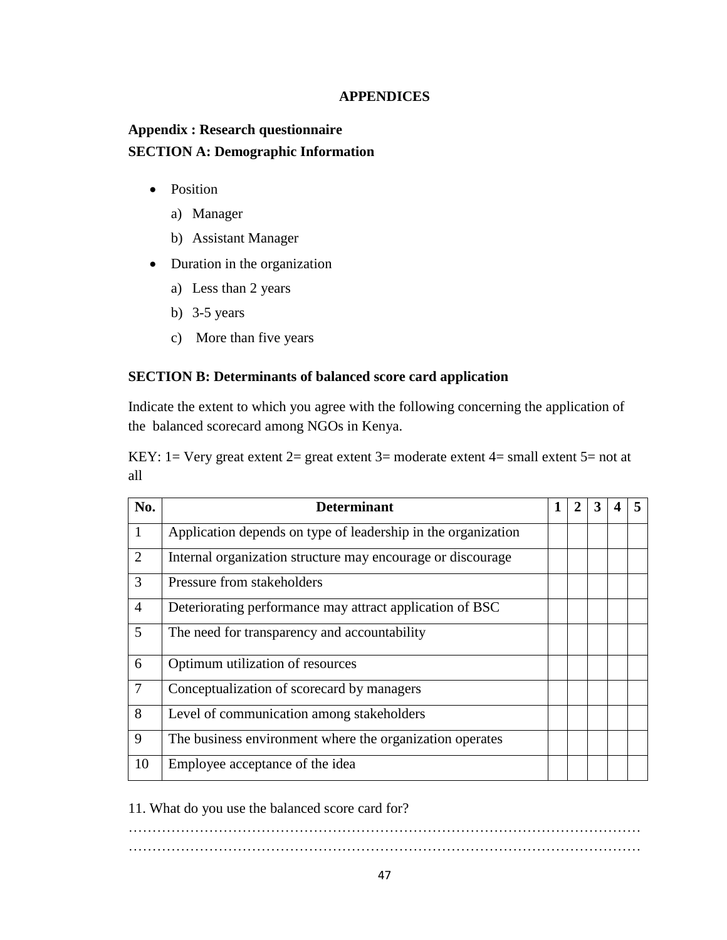## **APPENDICES**

# <span id="page-55-1"></span><span id="page-55-0"></span>**Appendix : Research questionnaire SECTION A: Demographic Information**

- Position
	- a) Manager
	- b) Assistant Manager
- Duration in the organization
	- a) Less than 2 years
	- b) 3-5 years
	- c) More than five years

# **SECTION B: Determinants of balanced score card application**

Indicate the extent to which you agree with the following concerning the application of the balanced scorecard among NGOs in Kenya.

KEY: 1 = Very great extent  $2=$  great extent  $3=$  moderate extent  $4=$  small extent  $5=$  not at all

| No.            | <b>Determinant</b>                                            |  |  |  |
|----------------|---------------------------------------------------------------|--|--|--|
| $\mathbf{1}$   | Application depends on type of leadership in the organization |  |  |  |
| 2              | Internal organization structure may encourage or discourage   |  |  |  |
| 3              | Pressure from stakeholders                                    |  |  |  |
| 4              | Deteriorating performance may attract application of BSC      |  |  |  |
| 5              | The need for transparency and accountability                  |  |  |  |
| 6              | Optimum utilization of resources                              |  |  |  |
| $\overline{7}$ | Conceptualization of scorecard by managers                    |  |  |  |
| 8              | Level of communication among stakeholders                     |  |  |  |
| 9              | The business environment where the organization operates      |  |  |  |
| 10             | Employee acceptance of the idea                               |  |  |  |

11. What do you use the balanced score card for?

……………………………………………………………………………………………… ………………………………………………………………………………………………